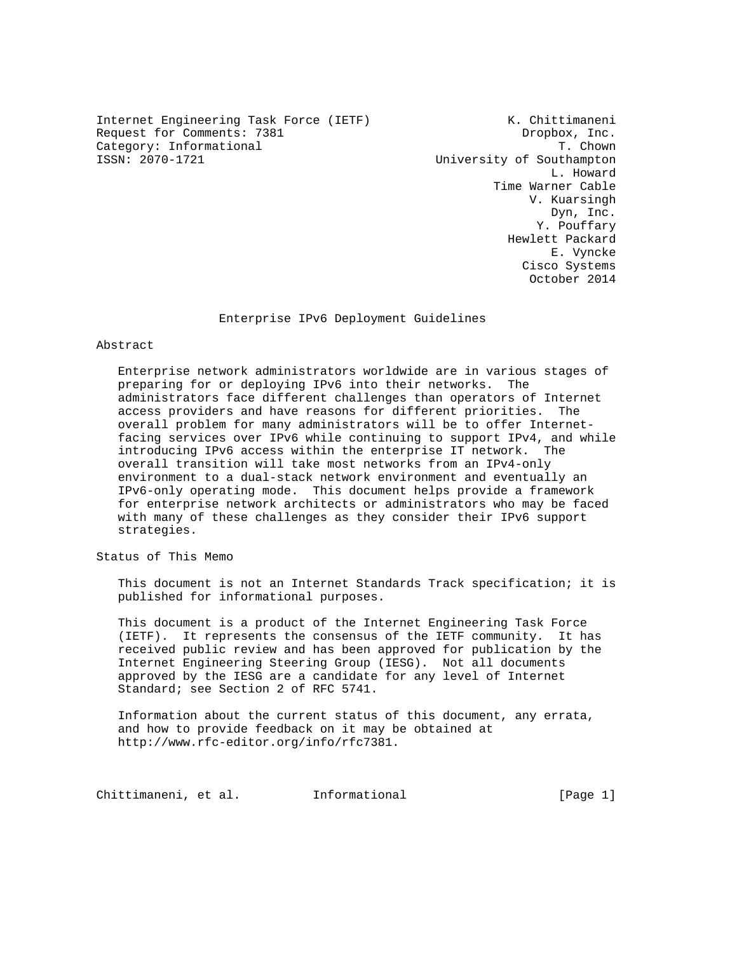Internet Engineering Task Force (IETF) K. Chittimaneni Request for Comments: 7381 Dropbox, Inc.<br>
Category: Informational T. Chown Category: Informational<br>ISSN: 2070-1721

University of Southampton L. Howard Time Warner Cable V. Kuarsingh Dyn, Inc. Y. Pouffary Hewlett Packard E. Vyncke Cisco Systems October 2014

Enterprise IPv6 Deployment Guidelines

#### Abstract

 Enterprise network administrators worldwide are in various stages of preparing for or deploying IPv6 into their networks. The administrators face different challenges than operators of Internet access providers and have reasons for different priorities. The overall problem for many administrators will be to offer Internet facing services over IPv6 while continuing to support IPv4, and while introducing IPv6 access within the enterprise IT network. The overall transition will take most networks from an IPv4-only environment to a dual-stack network environment and eventually an IPv6-only operating mode. This document helps provide a framework for enterprise network architects or administrators who may be faced with many of these challenges as they consider their IPv6 support strategies.

Status of This Memo

 This document is not an Internet Standards Track specification; it is published for informational purposes.

 This document is a product of the Internet Engineering Task Force (IETF). It represents the consensus of the IETF community. It has received public review and has been approved for publication by the Internet Engineering Steering Group (IESG). Not all documents approved by the IESG are a candidate for any level of Internet Standard; see Section 2 of RFC 5741.

 Information about the current status of this document, any errata, and how to provide feedback on it may be obtained at http://www.rfc-editor.org/info/rfc7381.

Chittimaneni, et al. 1nformational (Page 1)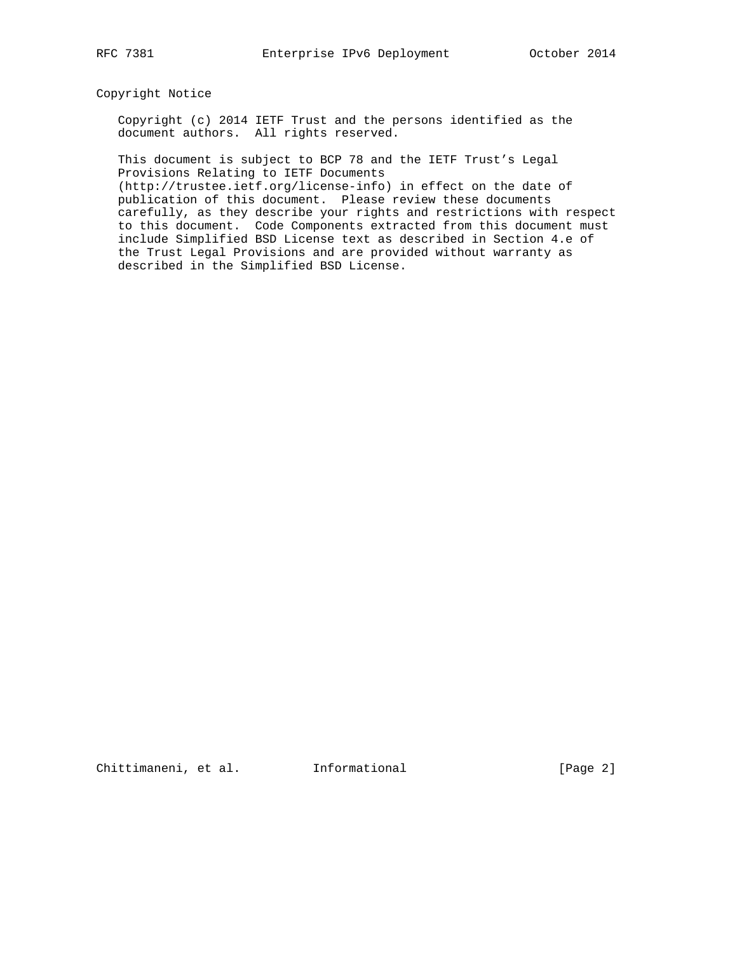# Copyright Notice

 Copyright (c) 2014 IETF Trust and the persons identified as the document authors. All rights reserved.

 This document is subject to BCP 78 and the IETF Trust's Legal Provisions Relating to IETF Documents

 (http://trustee.ietf.org/license-info) in effect on the date of publication of this document. Please review these documents carefully, as they describe your rights and restrictions with respect to this document. Code Components extracted from this document must include Simplified BSD License text as described in Section 4.e of the Trust Legal Provisions and are provided without warranty as described in the Simplified BSD License.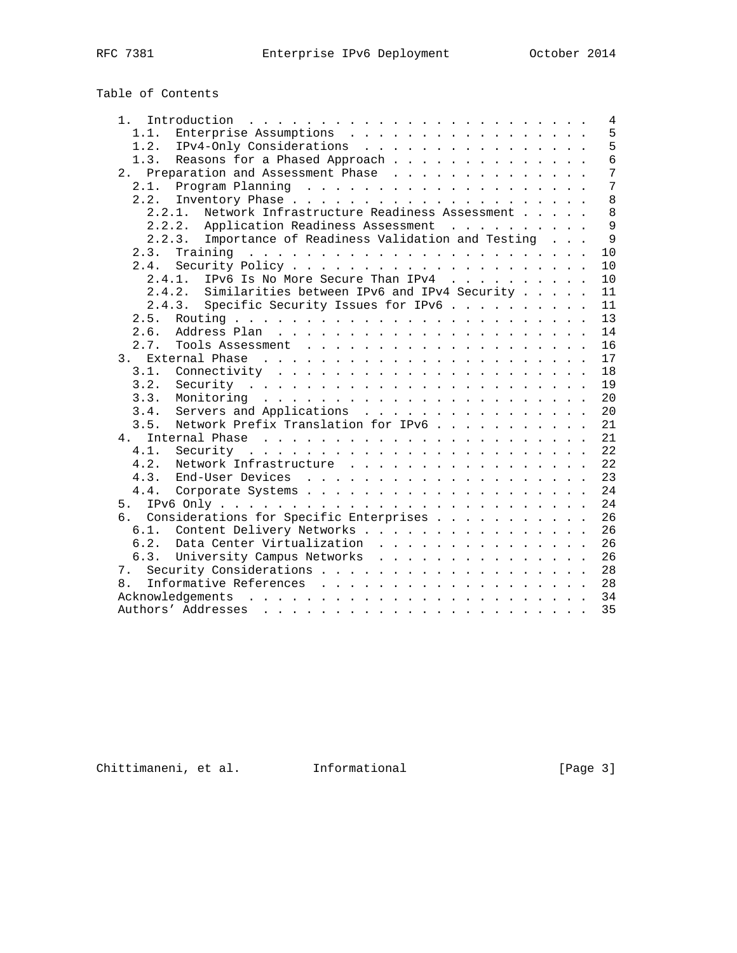| Table of Contents |
|-------------------|
|-------------------|

| 1.                                                            | 4              |
|---------------------------------------------------------------|----------------|
| Enterprise Assumptions<br>1.1.                                | 5              |
| IPv4-Only Considerations<br>1.2.                              | 5              |
| Reasons for a Phased Approach<br>1.3.                         | 6              |
| Preparation and Assessment Phase<br>2.                        | 7              |
| 2.1.                                                          | $\overline{7}$ |
| 2.2.                                                          | 8              |
| Network Infrastructure Readiness Assessment<br>2.2.1.         | 8              |
| 2.2.2. Application Readiness Assessment                       | 9              |
| Importance of Readiness Validation and Testing<br>$2, 2, 3$ . | 9              |
| 2.3.                                                          | 10             |
| 2.4.                                                          | 10             |
| IPv6 Is No More Secure Than IPv4<br>2.4.1.                    | 10             |
| Similarities between IPv6 and IPv4 Security<br>2.4.2.         | 11             |
| Specific Security Issues for IPv6<br>2.4.3.                   | 11             |
| 2.5.                                                          | 13             |
| 2.6.                                                          | 14             |
| 2.7.                                                          | 16             |
| 3.                                                            | 17             |
| 3.1.                                                          | 18             |
| 3.2.                                                          | 19             |
| 3.3.                                                          | 20             |
| 3.4.<br>Servers and Applications                              | 20             |
| Network Prefix Translation for IPv6<br>3.5.                   | 21             |
| 4.                                                            | 21             |
| 4.1.                                                          | 22             |
| 4.2.<br>Network Infrastructure                                | 22             |
| 4.3.                                                          | 23             |
| 4.4.                                                          | 24             |
| 5.                                                            | 24             |
| Considerations for Specific Enterprises<br>რ.                 | 26             |
| Content Delivery Networks<br>6.1.                             | 26             |
| Data Center Virtualization<br>6.2.                            | 26             |
| 6.3.<br>University Campus Networks                            | 26             |
| 7.                                                            | 28             |
| 8.                                                            | 28             |
|                                                               | 34             |
|                                                               | 35             |
|                                                               |                |

Chittimaneni, et al. 1nformational (Page 3)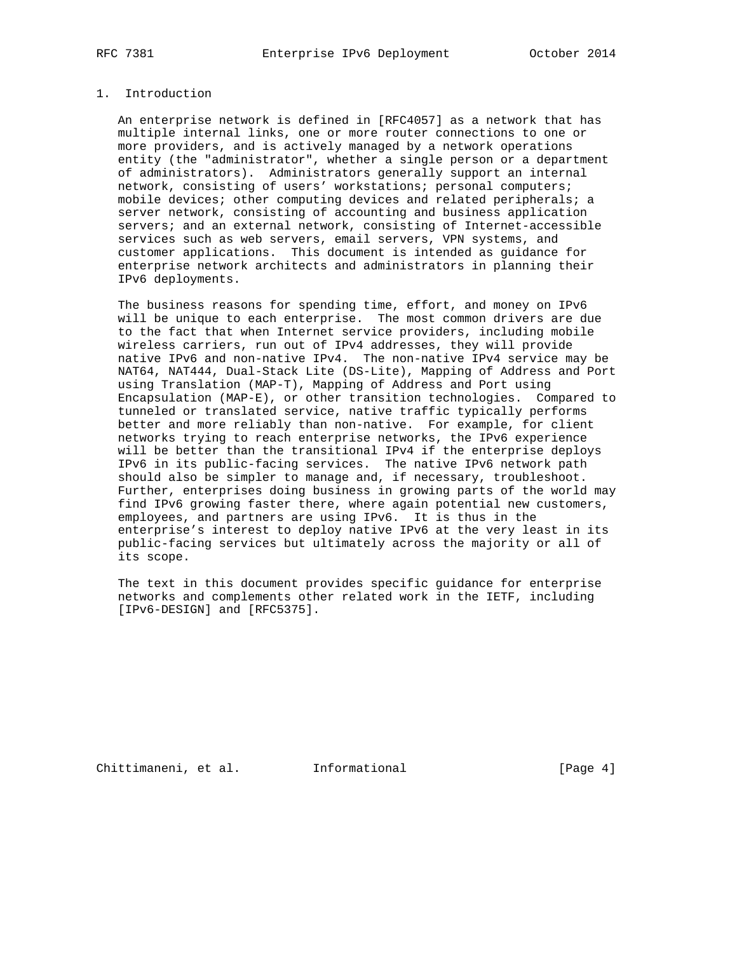# 1. Introduction

 An enterprise network is defined in [RFC4057] as a network that has multiple internal links, one or more router connections to one or more providers, and is actively managed by a network operations entity (the "administrator", whether a single person or a department of administrators). Administrators generally support an internal network, consisting of users' workstations; personal computers; mobile devices; other computing devices and related peripherals; a server network, consisting of accounting and business application servers; and an external network, consisting of Internet-accessible services such as web servers, email servers, VPN systems, and customer applications. This document is intended as guidance for enterprise network architects and administrators in planning their IPv6 deployments.

 The business reasons for spending time, effort, and money on IPv6 will be unique to each enterprise. The most common drivers are due to the fact that when Internet service providers, including mobile wireless carriers, run out of IPv4 addresses, they will provide native IPv6 and non-native IPv4. The non-native IPv4 service may be NAT64, NAT444, Dual-Stack Lite (DS-Lite), Mapping of Address and Port using Translation (MAP-T), Mapping of Address and Port using Encapsulation (MAP-E), or other transition technologies. Compared to tunneled or translated service, native traffic typically performs better and more reliably than non-native. For example, for client networks trying to reach enterprise networks, the IPv6 experience will be better than the transitional IPv4 if the enterprise deploys IPv6 in its public-facing services. The native IPv6 network path should also be simpler to manage and, if necessary, troubleshoot. Further, enterprises doing business in growing parts of the world may find IPv6 growing faster there, where again potential new customers, employees, and partners are using IPv6. It is thus in the enterprise's interest to deploy native IPv6 at the very least in its public-facing services but ultimately across the majority or all of its scope.

 The text in this document provides specific guidance for enterprise networks and complements other related work in the IETF, including [IPv6-DESIGN] and [RFC5375].

Chittimaneni, et al. Informational [Page 4]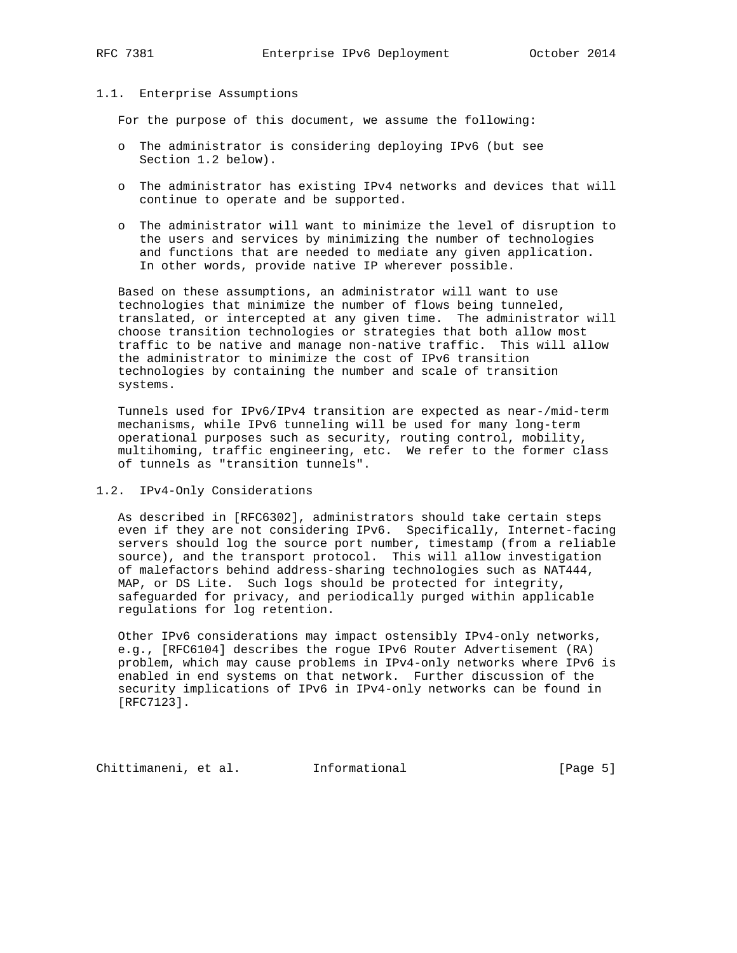## 1.1. Enterprise Assumptions

For the purpose of this document, we assume the following:

- o The administrator is considering deploying IPv6 (but see Section 1.2 below).
- o The administrator has existing IPv4 networks and devices that will continue to operate and be supported.
- o The administrator will want to minimize the level of disruption to the users and services by minimizing the number of technologies and functions that are needed to mediate any given application. In other words, provide native IP wherever possible.

 Based on these assumptions, an administrator will want to use technologies that minimize the number of flows being tunneled, translated, or intercepted at any given time. The administrator will choose transition technologies or strategies that both allow most traffic to be native and manage non-native traffic. This will allow the administrator to minimize the cost of IPv6 transition technologies by containing the number and scale of transition systems.

 Tunnels used for IPv6/IPv4 transition are expected as near-/mid-term mechanisms, while IPv6 tunneling will be used for many long-term operational purposes such as security, routing control, mobility, multihoming, traffic engineering, etc. We refer to the former class of tunnels as "transition tunnels".

## 1.2. IPv4-Only Considerations

 As described in [RFC6302], administrators should take certain steps even if they are not considering IPv6. Specifically, Internet-facing servers should log the source port number, timestamp (from a reliable source), and the transport protocol. This will allow investigation of malefactors behind address-sharing technologies such as NAT444, MAP, or DS Lite. Such logs should be protected for integrity, safeguarded for privacy, and periodically purged within applicable regulations for log retention.

 Other IPv6 considerations may impact ostensibly IPv4-only networks, e.g., [RFC6104] describes the rogue IPv6 Router Advertisement (RA) problem, which may cause problems in IPv4-only networks where IPv6 is enabled in end systems on that network. Further discussion of the security implications of IPv6 in IPv4-only networks can be found in [RFC7123].

Chittimaneni, et al. Informational [Page 5]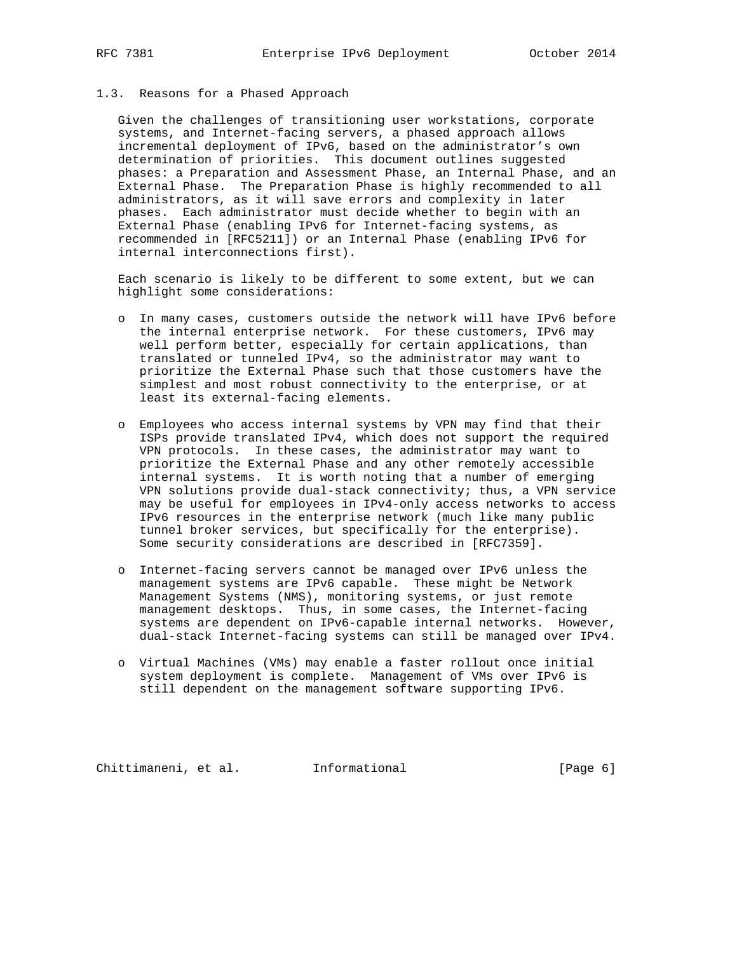## 1.3. Reasons for a Phased Approach

 Given the challenges of transitioning user workstations, corporate systems, and Internet-facing servers, a phased approach allows incremental deployment of IPv6, based on the administrator's own determination of priorities. This document outlines suggested phases: a Preparation and Assessment Phase, an Internal Phase, and an External Phase. The Preparation Phase is highly recommended to all administrators, as it will save errors and complexity in later phases. Each administrator must decide whether to begin with an External Phase (enabling IPv6 for Internet-facing systems, as recommended in [RFC5211]) or an Internal Phase (enabling IPv6 for internal interconnections first).

 Each scenario is likely to be different to some extent, but we can highlight some considerations:

- o In many cases, customers outside the network will have IPv6 before the internal enterprise network. For these customers, IPv6 may well perform better, especially for certain applications, than translated or tunneled IPv4, so the administrator may want to prioritize the External Phase such that those customers have the simplest and most robust connectivity to the enterprise, or at least its external-facing elements.
- o Employees who access internal systems by VPN may find that their ISPs provide translated IPv4, which does not support the required VPN protocols. In these cases, the administrator may want to prioritize the External Phase and any other remotely accessible internal systems. It is worth noting that a number of emerging VPN solutions provide dual-stack connectivity; thus, a VPN service may be useful for employees in IPv4-only access networks to access IPv6 resources in the enterprise network (much like many public tunnel broker services, but specifically for the enterprise). Some security considerations are described in [RFC7359].
- o Internet-facing servers cannot be managed over IPv6 unless the management systems are IPv6 capable. These might be Network Management Systems (NMS), monitoring systems, or just remote management desktops. Thus, in some cases, the Internet-facing systems are dependent on IPv6-capable internal networks. However, dual-stack Internet-facing systems can still be managed over IPv4.
- o Virtual Machines (VMs) may enable a faster rollout once initial system deployment is complete. Management of VMs over IPv6 is still dependent on the management software supporting IPv6.

Chittimaneni, et al. Informational [Page 6]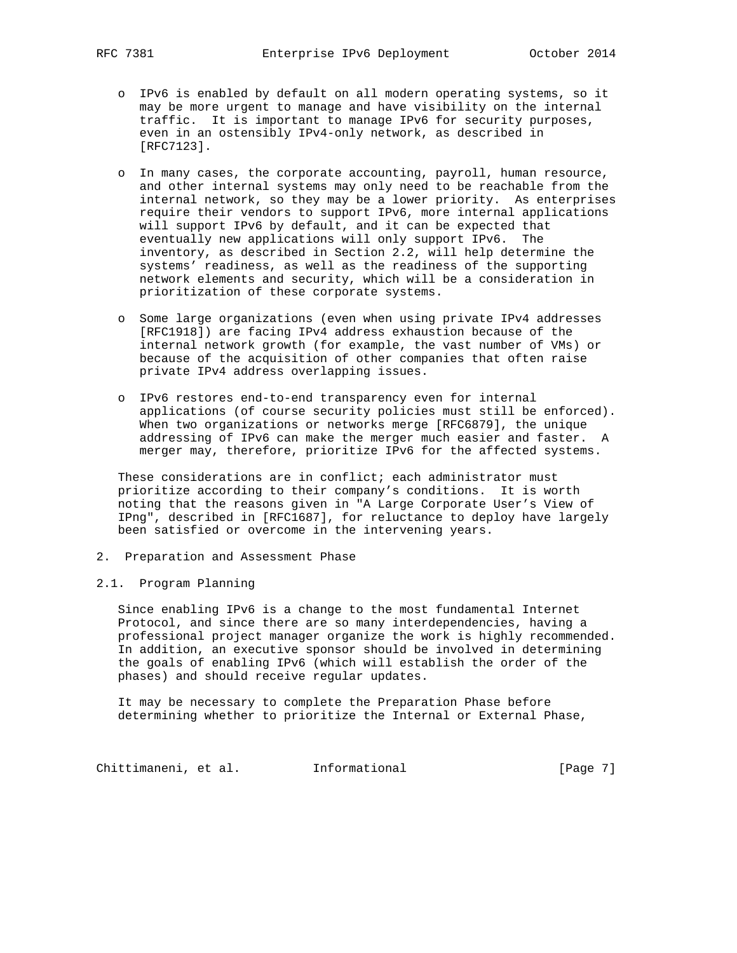- o IPv6 is enabled by default on all modern operating systems, so it may be more urgent to manage and have visibility on the internal traffic. It is important to manage IPv6 for security purposes, even in an ostensibly IPv4-only network, as described in [RFC7123].
- o In many cases, the corporate accounting, payroll, human resource, and other internal systems may only need to be reachable from the internal network, so they may be a lower priority. As enterprises require their vendors to support IPv6, more internal applications will support IPv6 by default, and it can be expected that eventually new applications will only support IPv6. The inventory, as described in Section 2.2, will help determine the systems' readiness, as well as the readiness of the supporting network elements and security, which will be a consideration in prioritization of these corporate systems.
- o Some large organizations (even when using private IPv4 addresses [RFC1918]) are facing IPv4 address exhaustion because of the internal network growth (for example, the vast number of VMs) or because of the acquisition of other companies that often raise private IPv4 address overlapping issues.
- o IPv6 restores end-to-end transparency even for internal applications (of course security policies must still be enforced). When two organizations or networks merge [RFC6879], the unique addressing of IPv6 can make the merger much easier and faster. A merger may, therefore, prioritize IPv6 for the affected systems.

These considerations are in conflict; each administrator must prioritize according to their company's conditions. It is worth noting that the reasons given in "A Large Corporate User's View of IPng", described in [RFC1687], for reluctance to deploy have largely been satisfied or overcome in the intervening years.

- 2. Preparation and Assessment Phase
- 2.1. Program Planning

 Since enabling IPv6 is a change to the most fundamental Internet Protocol, and since there are so many interdependencies, having a professional project manager organize the work is highly recommended. In addition, an executive sponsor should be involved in determining the goals of enabling IPv6 (which will establish the order of the phases) and should receive regular updates.

 It may be necessary to complete the Preparation Phase before determining whether to prioritize the Internal or External Phase,

Chittimaneni, et al. 1nformational (Page 7)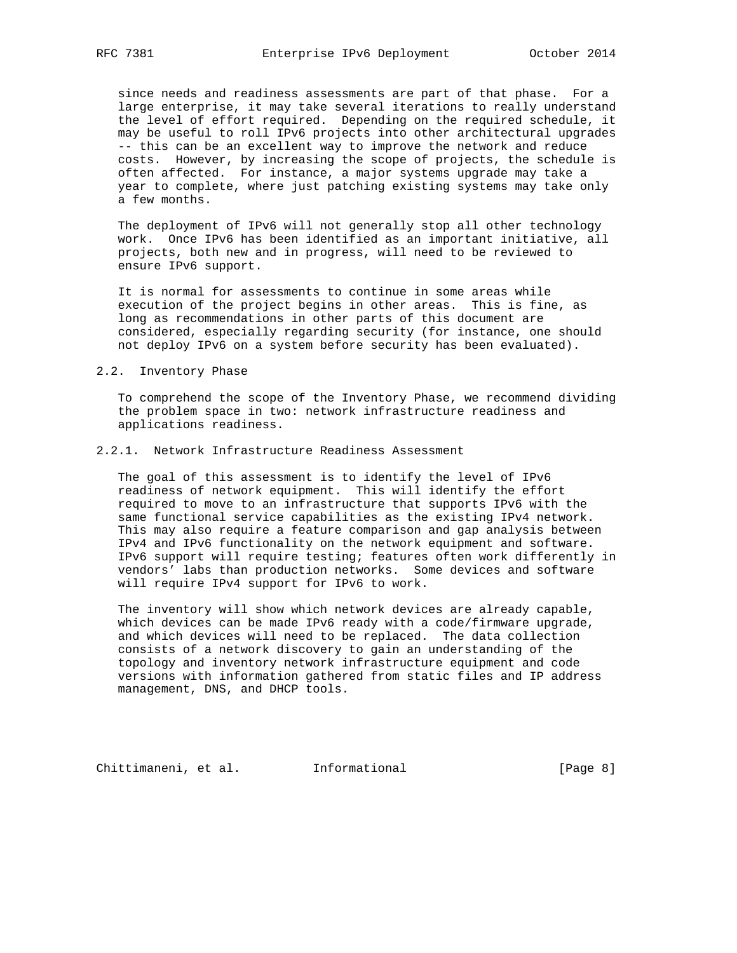since needs and readiness assessments are part of that phase. For a large enterprise, it may take several iterations to really understand the level of effort required. Depending on the required schedule, it may be useful to roll IPv6 projects into other architectural upgrades -- this can be an excellent way to improve the network and reduce costs. However, by increasing the scope of projects, the schedule is often affected. For instance, a major systems upgrade may take a year to complete, where just patching existing systems may take only a few months.

 The deployment of IPv6 will not generally stop all other technology work. Once IPv6 has been identified as an important initiative, all projects, both new and in progress, will need to be reviewed to ensure IPv6 support.

 It is normal for assessments to continue in some areas while execution of the project begins in other areas. This is fine, as long as recommendations in other parts of this document are considered, especially regarding security (for instance, one should not deploy IPv6 on a system before security has been evaluated).

## 2.2. Inventory Phase

 To comprehend the scope of the Inventory Phase, we recommend dividing the problem space in two: network infrastructure readiness and applications readiness.

## 2.2.1. Network Infrastructure Readiness Assessment

 The goal of this assessment is to identify the level of IPv6 readiness of network equipment. This will identify the effort required to move to an infrastructure that supports IPv6 with the same functional service capabilities as the existing IPv4 network. This may also require a feature comparison and gap analysis between IPv4 and IPv6 functionality on the network equipment and software. IPv6 support will require testing; features often work differently in vendors' labs than production networks. Some devices and software will require IPv4 support for IPv6 to work.

 The inventory will show which network devices are already capable, which devices can be made IPv6 ready with a code/firmware upgrade, and which devices will need to be replaced. The data collection consists of a network discovery to gain an understanding of the topology and inventory network infrastructure equipment and code versions with information gathered from static files and IP address management, DNS, and DHCP tools.

Chittimaneni, et al. Informational [Page 8]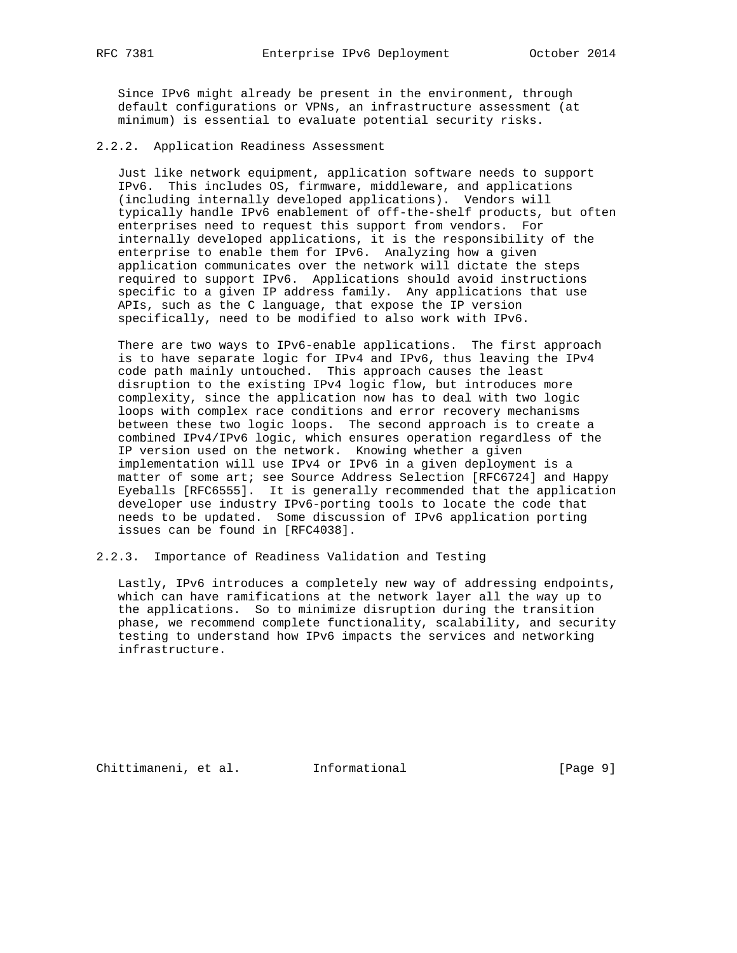Since IPv6 might already be present in the environment, through default configurations or VPNs, an infrastructure assessment (at minimum) is essential to evaluate potential security risks.

2.2.2. Application Readiness Assessment

 Just like network equipment, application software needs to support IPv6. This includes OS, firmware, middleware, and applications (including internally developed applications). Vendors will typically handle IPv6 enablement of off-the-shelf products, but often enterprises need to request this support from vendors. For internally developed applications, it is the responsibility of the enterprise to enable them for IPv6. Analyzing how a given application communicates over the network will dictate the steps required to support IPv6. Applications should avoid instructions specific to a given IP address family. Any applications that use APIs, such as the C language, that expose the IP version specifically, need to be modified to also work with IPv6.

 There are two ways to IPv6-enable applications. The first approach is to have separate logic for IPv4 and IPv6, thus leaving the IPv4 code path mainly untouched. This approach causes the least disruption to the existing IPv4 logic flow, but introduces more complexity, since the application now has to deal with two logic loops with complex race conditions and error recovery mechanisms between these two logic loops. The second approach is to create a combined IPv4/IPv6 logic, which ensures operation regardless of the IP version used on the network. Knowing whether a given implementation will use IPv4 or IPv6 in a given deployment is a matter of some art; see Source Address Selection [RFC6724] and Happy Eyeballs [RFC6555]. It is generally recommended that the application developer use industry IPv6-porting tools to locate the code that needs to be updated. Some discussion of IPv6 application porting issues can be found in [RFC4038].

2.2.3. Importance of Readiness Validation and Testing

 Lastly, IPv6 introduces a completely new way of addressing endpoints, which can have ramifications at the network layer all the way up to the applications. So to minimize disruption during the transition phase, we recommend complete functionality, scalability, and security testing to understand how IPv6 impacts the services and networking infrastructure.

Chittimaneni, et al. Informational [Page 9]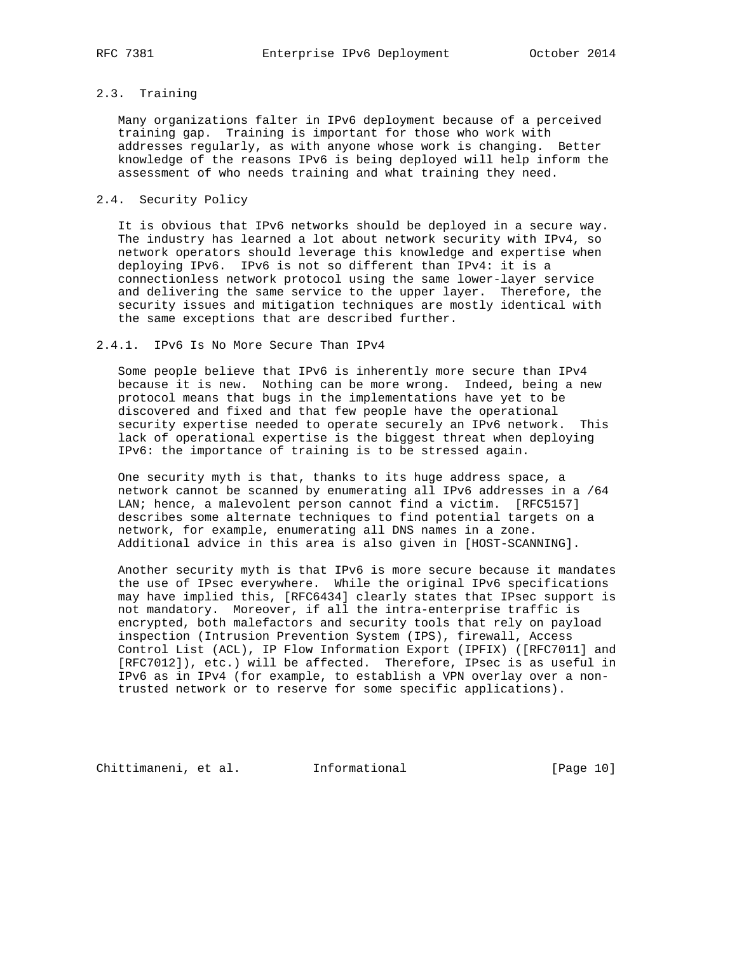# 2.3. Training

 Many organizations falter in IPv6 deployment because of a perceived training gap. Training is important for those who work with addresses regularly, as with anyone whose work is changing. Better knowledge of the reasons IPv6 is being deployed will help inform the assessment of who needs training and what training they need.

## 2.4. Security Policy

 It is obvious that IPv6 networks should be deployed in a secure way. The industry has learned a lot about network security with IPv4, so network operators should leverage this knowledge and expertise when deploying IPv6. IPv6 is not so different than IPv4: it is a connectionless network protocol using the same lower-layer service and delivering the same service to the upper layer. Therefore, the security issues and mitigation techniques are mostly identical with the same exceptions that are described further.

#### 2.4.1. IPv6 Is No More Secure Than IPv4

 Some people believe that IPv6 is inherently more secure than IPv4 because it is new. Nothing can be more wrong. Indeed, being a new protocol means that bugs in the implementations have yet to be discovered and fixed and that few people have the operational security expertise needed to operate securely an IPv6 network. This lack of operational expertise is the biggest threat when deploying IPv6: the importance of training is to be stressed again.

 One security myth is that, thanks to its huge address space, a network cannot be scanned by enumerating all IPv6 addresses in a /64 LAN; hence, a malevolent person cannot find a victim. [RFC5157] describes some alternate techniques to find potential targets on a network, for example, enumerating all DNS names in a zone. Additional advice in this area is also given in [HOST-SCANNING].

 Another security myth is that IPv6 is more secure because it mandates the use of IPsec everywhere. While the original IPv6 specifications may have implied this, [RFC6434] clearly states that IPsec support is not mandatory. Moreover, if all the intra-enterprise traffic is encrypted, both malefactors and security tools that rely on payload inspection (Intrusion Prevention System (IPS), firewall, Access Control List (ACL), IP Flow Information Export (IPFIX) ([RFC7011] and [RFC7012]), etc.) will be affected. Therefore, IPsec is as useful in IPv6 as in IPv4 (for example, to establish a VPN overlay over a non trusted network or to reserve for some specific applications).

Chittimaneni, et al. 1nformational [Page 10]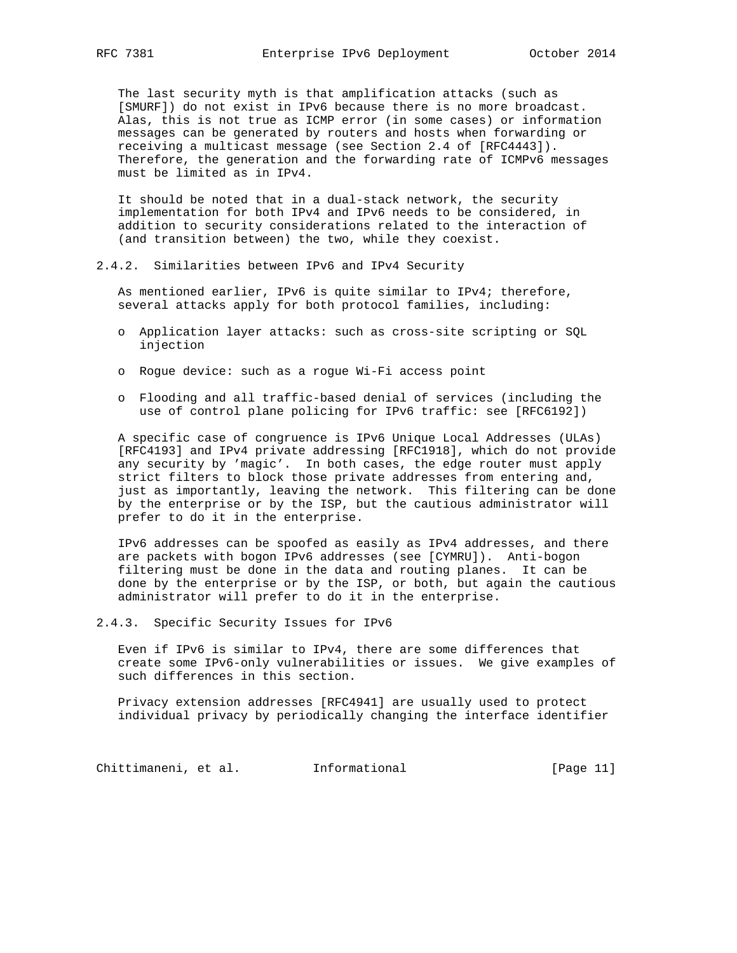The last security myth is that amplification attacks (such as [SMURF]) do not exist in IPv6 because there is no more broadcast. Alas, this is not true as ICMP error (in some cases) or information messages can be generated by routers and hosts when forwarding or receiving a multicast message (see Section 2.4 of [RFC4443]). Therefore, the generation and the forwarding rate of ICMPv6 messages must be limited as in IPv4.

 It should be noted that in a dual-stack network, the security implementation for both IPv4 and IPv6 needs to be considered, in addition to security considerations related to the interaction of (and transition between) the two, while they coexist.

#### 2.4.2. Similarities between IPv6 and IPv4 Security

 As mentioned earlier, IPv6 is quite similar to IPv4; therefore, several attacks apply for both protocol families, including:

- o Application layer attacks: such as cross-site scripting or SQL injection
- o Rogue device: such as a rogue Wi-Fi access point
- o Flooding and all traffic-based denial of services (including the use of control plane policing for IPv6 traffic: see [RFC6192])

 A specific case of congruence is IPv6 Unique Local Addresses (ULAs) [RFC4193] and IPv4 private addressing [RFC1918], which do not provide any security by 'magic'. In both cases, the edge router must apply strict filters to block those private addresses from entering and, just as importantly, leaving the network. This filtering can be done by the enterprise or by the ISP, but the cautious administrator will prefer to do it in the enterprise.

 IPv6 addresses can be spoofed as easily as IPv4 addresses, and there are packets with bogon IPv6 addresses (see [CYMRU]). Anti-bogon filtering must be done in the data and routing planes. It can be done by the enterprise or by the ISP, or both, but again the cautious administrator will prefer to do it in the enterprise.

2.4.3. Specific Security Issues for IPv6

 Even if IPv6 is similar to IPv4, there are some differences that create some IPv6-only vulnerabilities or issues. We give examples of such differences in this section.

 Privacy extension addresses [RFC4941] are usually used to protect individual privacy by periodically changing the interface identifier

Chittimaneni, et al. Informational [Page 11]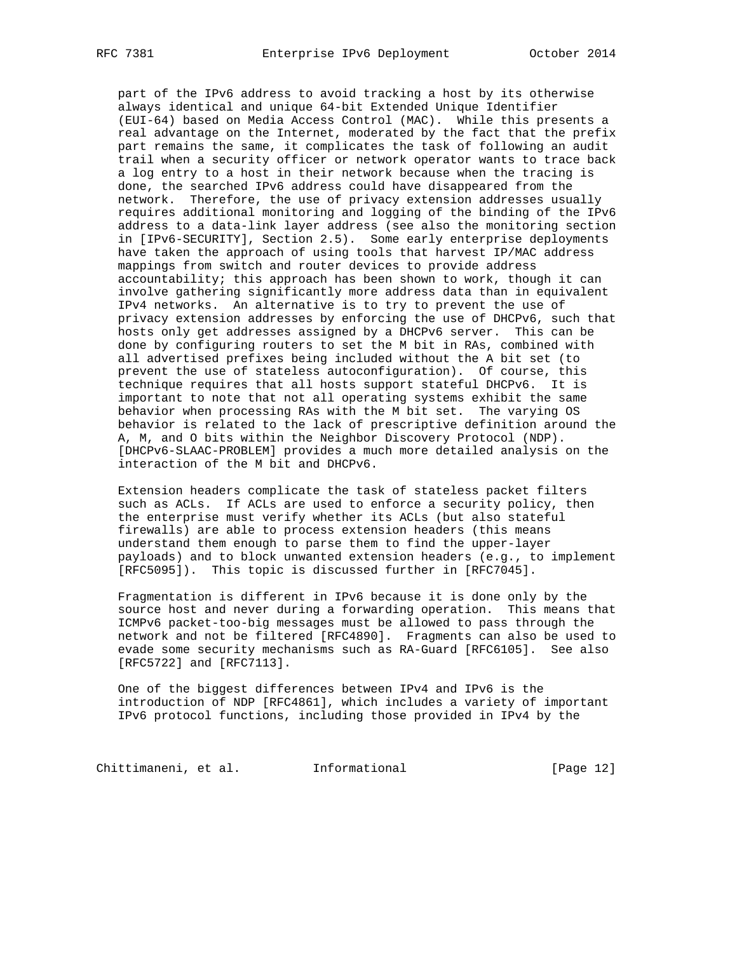part of the IPv6 address to avoid tracking a host by its otherwise always identical and unique 64-bit Extended Unique Identifier (EUI-64) based on Media Access Control (MAC). While this presents a real advantage on the Internet, moderated by the fact that the prefix part remains the same, it complicates the task of following an audit trail when a security officer or network operator wants to trace back a log entry to a host in their network because when the tracing is done, the searched IPv6 address could have disappeared from the network. Therefore, the use of privacy extension addresses usually requires additional monitoring and logging of the binding of the IPv6 address to a data-link layer address (see also the monitoring section in [IPv6-SECURITY], Section 2.5). Some early enterprise deployments have taken the approach of using tools that harvest IP/MAC address mappings from switch and router devices to provide address accountability; this approach has been shown to work, though it can involve gathering significantly more address data than in equivalent IPv4 networks. An alternative is to try to prevent the use of privacy extension addresses by enforcing the use of DHCPv6, such that hosts only get addresses assigned by a DHCPv6 server. This can be done by configuring routers to set the M bit in RAs, combined with all advertised prefixes being included without the A bit set (to prevent the use of stateless autoconfiguration). Of course, this technique requires that all hosts support stateful DHCPv6. It is important to note that not all operating systems exhibit the same behavior when processing RAs with the M bit set. The varying OS behavior is related to the lack of prescriptive definition around the A, M, and O bits within the Neighbor Discovery Protocol (NDP). [DHCPv6-SLAAC-PROBLEM] provides a much more detailed analysis on the interaction of the M bit and DHCPv6.

 Extension headers complicate the task of stateless packet filters such as ACLs. If ACLs are used to enforce a security policy, then the enterprise must verify whether its ACLs (but also stateful firewalls) are able to process extension headers (this means understand them enough to parse them to find the upper-layer payloads) and to block unwanted extension headers (e.g., to implement [RFC5095]). This topic is discussed further in [RFC7045].

 Fragmentation is different in IPv6 because it is done only by the source host and never during a forwarding operation. This means that ICMPv6 packet-too-big messages must be allowed to pass through the network and not be filtered [RFC4890]. Fragments can also be used to evade some security mechanisms such as RA-Guard [RFC6105]. See also [RFC5722] and [RFC7113].

 One of the biggest differences between IPv4 and IPv6 is the introduction of NDP [RFC4861], which includes a variety of important IPv6 protocol functions, including those provided in IPv4 by the

Chittimaneni, et al. 1nformational [Page 12]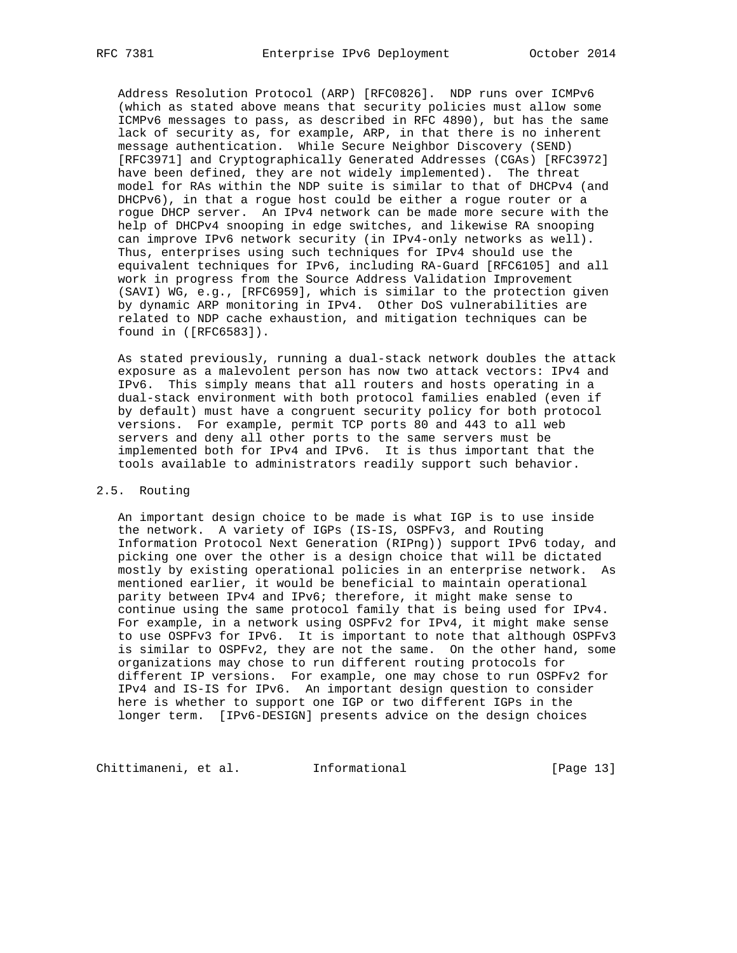Address Resolution Protocol (ARP) [RFC0826]. NDP runs over ICMPv6 (which as stated above means that security policies must allow some ICMPv6 messages to pass, as described in RFC 4890), but has the same lack of security as, for example, ARP, in that there is no inherent message authentication. While Secure Neighbor Discovery (SEND) [RFC3971] and Cryptographically Generated Addresses (CGAs) [RFC3972] have been defined, they are not widely implemented). The threat model for RAs within the NDP suite is similar to that of DHCPv4 (and DHCPv6), in that a rogue host could be either a rogue router or a rogue DHCP server. An IPv4 network can be made more secure with the help of DHCPv4 snooping in edge switches, and likewise RA snooping can improve IPv6 network security (in IPv4-only networks as well). Thus, enterprises using such techniques for IPv4 should use the equivalent techniques for IPv6, including RA-Guard [RFC6105] and all work in progress from the Source Address Validation Improvement (SAVI) WG, e.g., [RFC6959], which is similar to the protection given by dynamic ARP monitoring in IPv4. Other DoS vulnerabilities are related to NDP cache exhaustion, and mitigation techniques can be found in ([RFC6583]).

 As stated previously, running a dual-stack network doubles the attack exposure as a malevolent person has now two attack vectors: IPv4 and IPv6. This simply means that all routers and hosts operating in a dual-stack environment with both protocol families enabled (even if by default) must have a congruent security policy for both protocol versions. For example, permit TCP ports 80 and 443 to all web servers and deny all other ports to the same servers must be implemented both for IPv4 and IPv6. It is thus important that the tools available to administrators readily support such behavior.

## 2.5. Routing

 An important design choice to be made is what IGP is to use inside the network. A variety of IGPs (IS-IS, OSPFv3, and Routing Information Protocol Next Generation (RIPng)) support IPv6 today, and picking one over the other is a design choice that will be dictated mostly by existing operational policies in an enterprise network. As mentioned earlier, it would be beneficial to maintain operational parity between IPv4 and IPv6; therefore, it might make sense to continue using the same protocol family that is being used for IPv4. For example, in a network using OSPFv2 for IPv4, it might make sense to use OSPFv3 for IPv6. It is important to note that although OSPFv3 is similar to OSPFv2, they are not the same. On the other hand, some organizations may chose to run different routing protocols for different IP versions. For example, one may chose to run OSPFv2 for IPv4 and IS-IS for IPv6. An important design question to consider here is whether to support one IGP or two different IGPs in the longer term. [IPv6-DESIGN] presents advice on the design choices

Chittimaneni, et al. 1nformational [Page 13]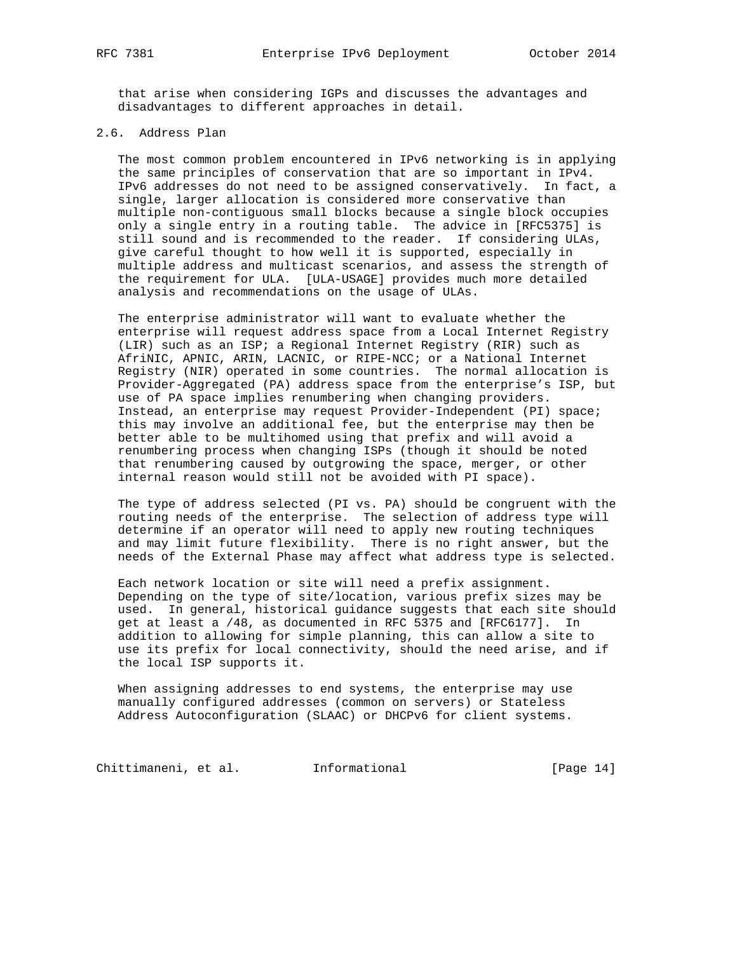that arise when considering IGPs and discusses the advantages and disadvantages to different approaches in detail.

# 2.6. Address Plan

 The most common problem encountered in IPv6 networking is in applying the same principles of conservation that are so important in IPv4. IPv6 addresses do not need to be assigned conservatively. In fact, a single, larger allocation is considered more conservative than multiple non-contiguous small blocks because a single block occupies only a single entry in a routing table. The advice in [RFC5375] is still sound and is recommended to the reader. If considering ULAs, give careful thought to how well it is supported, especially in multiple address and multicast scenarios, and assess the strength of the requirement for ULA. [ULA-USAGE] provides much more detailed analysis and recommendations on the usage of ULAs.

 The enterprise administrator will want to evaluate whether the enterprise will request address space from a Local Internet Registry (LIR) such as an ISP; a Regional Internet Registry (RIR) such as AfriNIC, APNIC, ARIN, LACNIC, or RIPE-NCC; or a National Internet Registry (NIR) operated in some countries. The normal allocation is Provider-Aggregated (PA) address space from the enterprise's ISP, but use of PA space implies renumbering when changing providers. Instead, an enterprise may request Provider-Independent (PI) space; this may involve an additional fee, but the enterprise may then be better able to be multihomed using that prefix and will avoid a renumbering process when changing ISPs (though it should be noted that renumbering caused by outgrowing the space, merger, or other internal reason would still not be avoided with PI space).

 The type of address selected (PI vs. PA) should be congruent with the routing needs of the enterprise. The selection of address type will determine if an operator will need to apply new routing techniques and may limit future flexibility. There is no right answer, but the needs of the External Phase may affect what address type is selected.

 Each network location or site will need a prefix assignment. Depending on the type of site/location, various prefix sizes may be used. In general, historical guidance suggests that each site should get at least a /48, as documented in RFC 5375 and [RFC6177]. In addition to allowing for simple planning, this can allow a site to use its prefix for local connectivity, should the need arise, and if the local ISP supports it.

 When assigning addresses to end systems, the enterprise may use manually configured addresses (common on servers) or Stateless Address Autoconfiguration (SLAAC) or DHCPv6 for client systems.

Chittimaneni, et al. 1nformational [Page 14]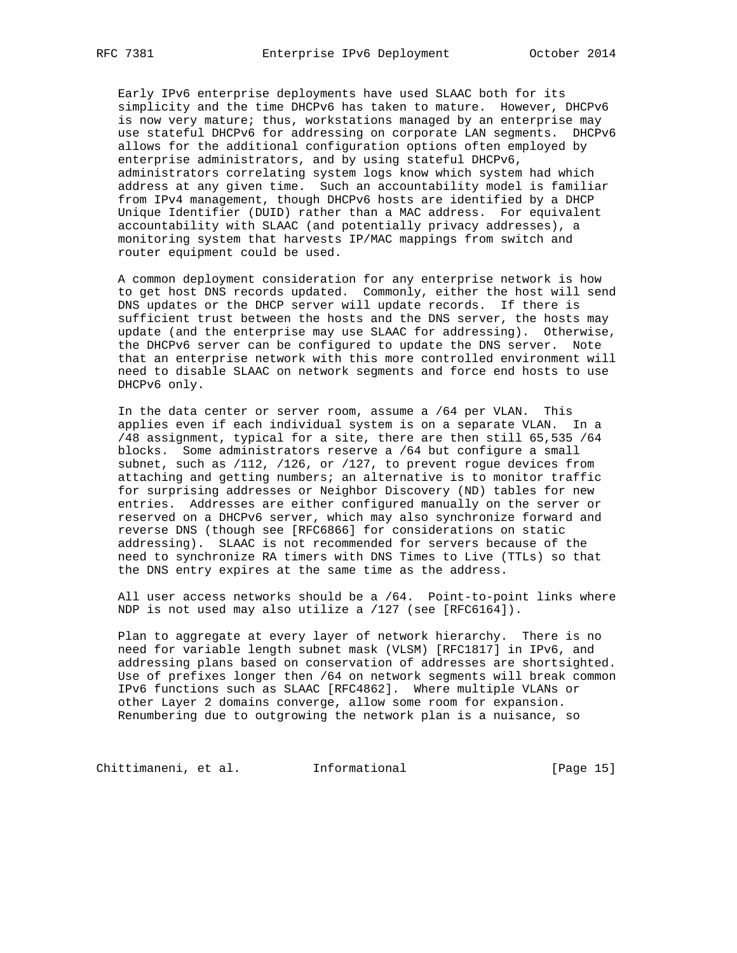Early IPv6 enterprise deployments have used SLAAC both for its simplicity and the time DHCPv6 has taken to mature. However, DHCPv6 is now very mature; thus, workstations managed by an enterprise may use stateful DHCPv6 for addressing on corporate LAN segments. DHCPv6 allows for the additional configuration options often employed by enterprise administrators, and by using stateful DHCPv6, administrators correlating system logs know which system had which address at any given time. Such an accountability model is familiar from IPv4 management, though DHCPv6 hosts are identified by a DHCP Unique Identifier (DUID) rather than a MAC address. For equivalent accountability with SLAAC (and potentially privacy addresses), a monitoring system that harvests IP/MAC mappings from switch and router equipment could be used.

 A common deployment consideration for any enterprise network is how to get host DNS records updated. Commonly, either the host will send DNS updates or the DHCP server will update records. If there is sufficient trust between the hosts and the DNS server, the hosts may update (and the enterprise may use SLAAC for addressing). Otherwise, the DHCPv6 server can be configured to update the DNS server. Note that an enterprise network with this more controlled environment will need to disable SLAAC on network segments and force end hosts to use DHCPv6 only.

 In the data center or server room, assume a /64 per VLAN. This applies even if each individual system is on a separate VLAN. In a /48 assignment, typical for a site, there are then still 65,535 /64 blocks. Some administrators reserve a /64 but configure a small subnet, such as /112, /126, or /127, to prevent rogue devices from attaching and getting numbers; an alternative is to monitor traffic for surprising addresses or Neighbor Discovery (ND) tables for new entries. Addresses are either configured manually on the server or reserved on a DHCPv6 server, which may also synchronize forward and reverse DNS (though see [RFC6866] for considerations on static addressing). SLAAC is not recommended for servers because of the need to synchronize RA timers with DNS Times to Live (TTLs) so that the DNS entry expires at the same time as the address.

 All user access networks should be a /64. Point-to-point links where NDP is not used may also utilize a /127 (see [RFC6164]).

 Plan to aggregate at every layer of network hierarchy. There is no need for variable length subnet mask (VLSM) [RFC1817] in IPv6, and addressing plans based on conservation of addresses are shortsighted. Use of prefixes longer then /64 on network segments will break common IPv6 functions such as SLAAC [RFC4862]. Where multiple VLANs or other Layer 2 domains converge, allow some room for expansion. Renumbering due to outgrowing the network plan is a nuisance, so

Chittimaneni, et al. 1nformational (Page 15)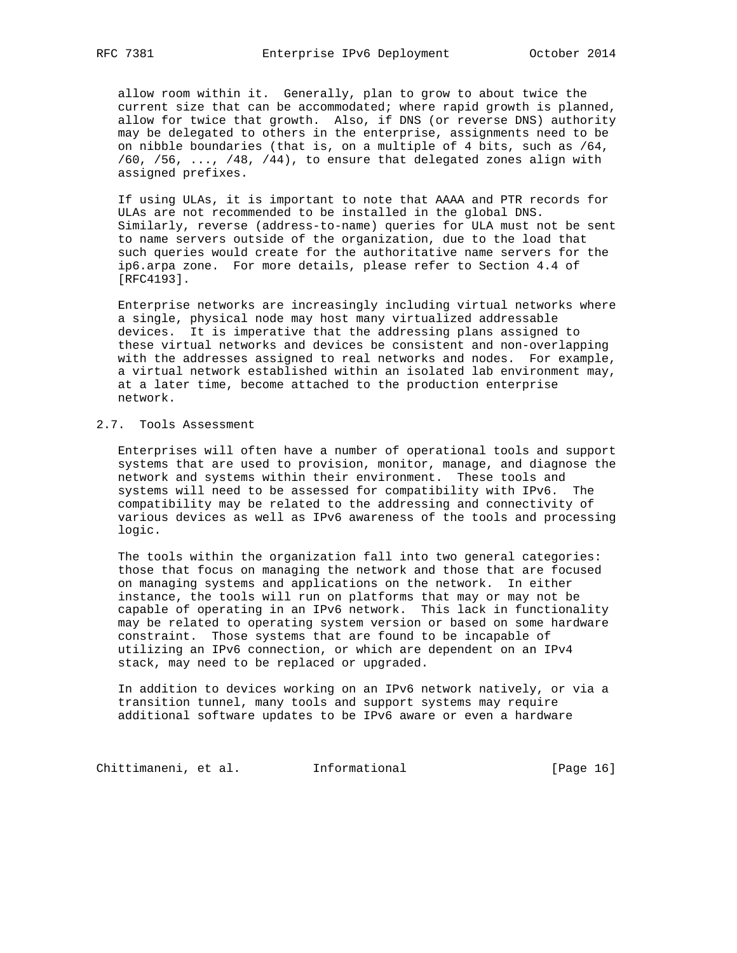allow room within it. Generally, plan to grow to about twice the current size that can be accommodated; where rapid growth is planned, allow for twice that growth. Also, if DNS (or reverse DNS) authority may be delegated to others in the enterprise, assignments need to be on nibble boundaries (that is, on a multiple of 4 bits, such as /64,  $/60$ ,  $/56$ , ...,  $/48$ ,  $/44$ ), to ensure that delegated zones align with assigned prefixes.

 If using ULAs, it is important to note that AAAA and PTR records for ULAs are not recommended to be installed in the global DNS. Similarly, reverse (address-to-name) queries for ULA must not be sent to name servers outside of the organization, due to the load that such queries would create for the authoritative name servers for the ip6.arpa zone. For more details, please refer to Section 4.4 of [RFC4193].

 Enterprise networks are increasingly including virtual networks where a single, physical node may host many virtualized addressable devices. It is imperative that the addressing plans assigned to these virtual networks and devices be consistent and non-overlapping with the addresses assigned to real networks and nodes. For example, a virtual network established within an isolated lab environment may, at a later time, become attached to the production enterprise network.

# 2.7. Tools Assessment

 Enterprises will often have a number of operational tools and support systems that are used to provision, monitor, manage, and diagnose the network and systems within their environment. These tools and systems will need to be assessed for compatibility with IPv6. The compatibility may be related to the addressing and connectivity of various devices as well as IPv6 awareness of the tools and processing logic.

 The tools within the organization fall into two general categories: those that focus on managing the network and those that are focused on managing systems and applications on the network. In either instance, the tools will run on platforms that may or may not be capable of operating in an IPv6 network. This lack in functionality may be related to operating system version or based on some hardware constraint. Those systems that are found to be incapable of utilizing an IPv6 connection, or which are dependent on an IPv4 stack, may need to be replaced or upgraded.

 In addition to devices working on an IPv6 network natively, or via a transition tunnel, many tools and support systems may require additional software updates to be IPv6 aware or even a hardware

Chittimaneni, et al. 1nformational (Page 16)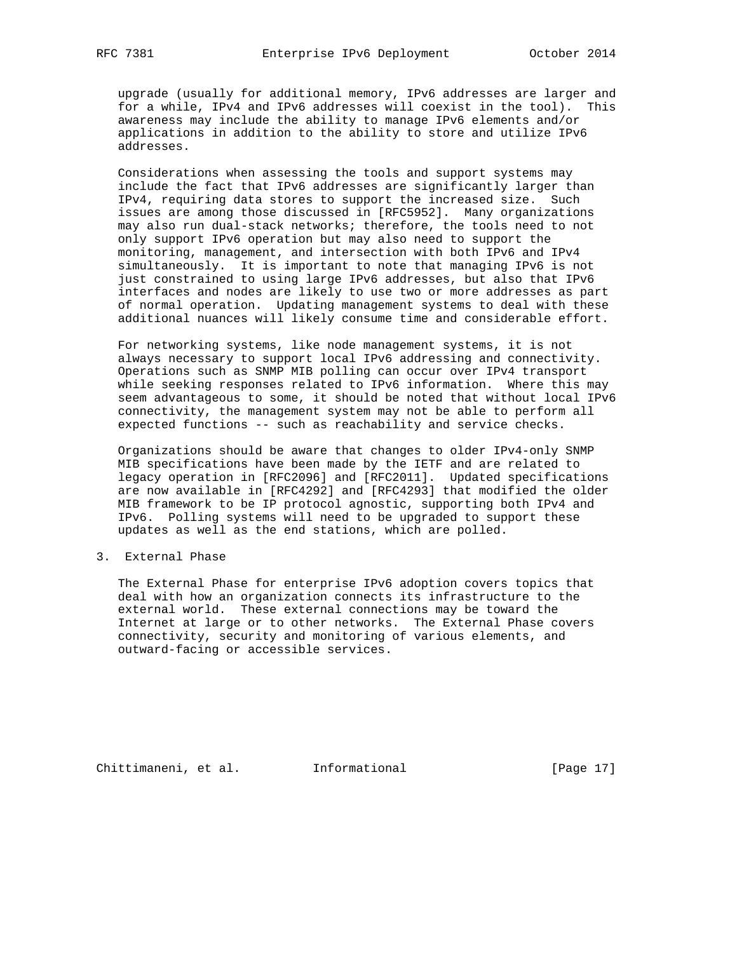upgrade (usually for additional memory, IPv6 addresses are larger and for a while, IPv4 and IPv6 addresses will coexist in the tool). This awareness may include the ability to manage IPv6 elements and/or applications in addition to the ability to store and utilize IPv6 addresses.

 Considerations when assessing the tools and support systems may include the fact that IPv6 addresses are significantly larger than IPv4, requiring data stores to support the increased size. Such issues are among those discussed in [RFC5952]. Many organizations may also run dual-stack networks; therefore, the tools need to not only support IPv6 operation but may also need to support the monitoring, management, and intersection with both IPv6 and IPv4 simultaneously. It is important to note that managing IPv6 is not just constrained to using large IPv6 addresses, but also that IPv6 interfaces and nodes are likely to use two or more addresses as part of normal operation. Updating management systems to deal with these additional nuances will likely consume time and considerable effort.

 For networking systems, like node management systems, it is not always necessary to support local IPv6 addressing and connectivity. Operations such as SNMP MIB polling can occur over IPv4 transport while seeking responses related to IPv6 information. Where this may seem advantageous to some, it should be noted that without local IPv6 connectivity, the management system may not be able to perform all expected functions -- such as reachability and service checks.

 Organizations should be aware that changes to older IPv4-only SNMP MIB specifications have been made by the IETF and are related to legacy operation in [RFC2096] and [RFC2011]. Updated specifications are now available in [RFC4292] and [RFC4293] that modified the older MIB framework to be IP protocol agnostic, supporting both IPv4 and IPv6. Polling systems will need to be upgraded to support these updates as well as the end stations, which are polled.

## 3. External Phase

 The External Phase for enterprise IPv6 adoption covers topics that deal with how an organization connects its infrastructure to the external world. These external connections may be toward the Internet at large or to other networks. The External Phase covers connectivity, security and monitoring of various elements, and outward-facing or accessible services.

Chittimaneni, et al. 1nformational (Page 17)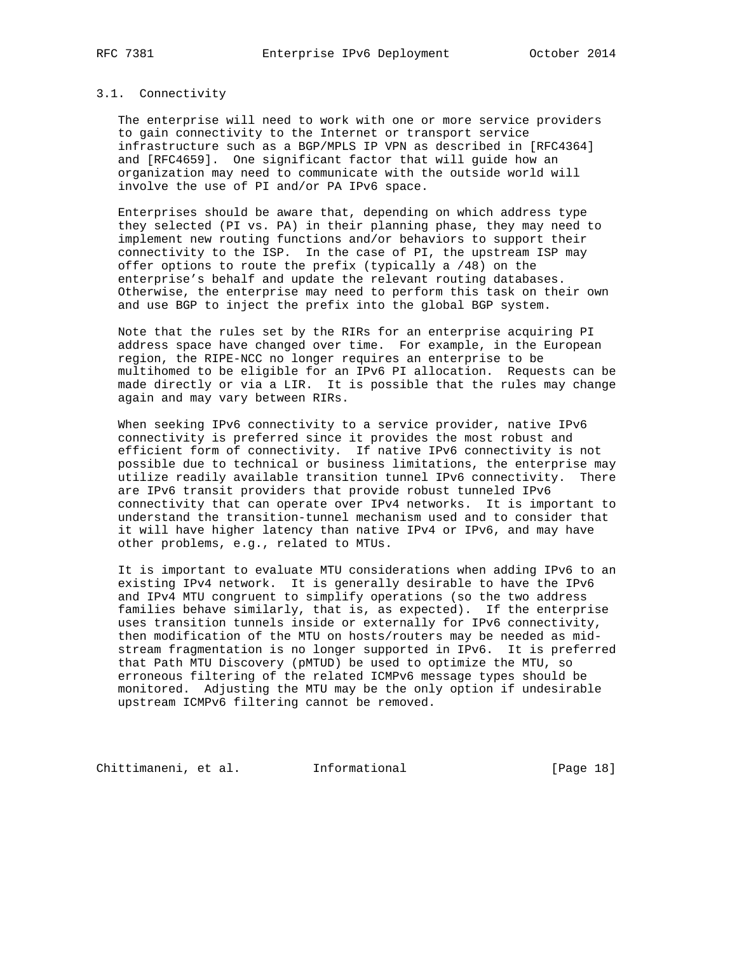#### 3.1. Connectivity

 The enterprise will need to work with one or more service providers to gain connectivity to the Internet or transport service infrastructure such as a BGP/MPLS IP VPN as described in [RFC4364] and [RFC4659]. One significant factor that will guide how an organization may need to communicate with the outside world will involve the use of PI and/or PA IPv6 space.

 Enterprises should be aware that, depending on which address type they selected (PI vs. PA) in their planning phase, they may need to implement new routing functions and/or behaviors to support their connectivity to the ISP. In the case of PI, the upstream ISP may offer options to route the prefix (typically a /48) on the enterprise's behalf and update the relevant routing databases. Otherwise, the enterprise may need to perform this task on their own and use BGP to inject the prefix into the global BGP system.

 Note that the rules set by the RIRs for an enterprise acquiring PI address space have changed over time. For example, in the European region, the RIPE-NCC no longer requires an enterprise to be multihomed to be eligible for an IPv6 PI allocation. Requests can be made directly or via a LIR. It is possible that the rules may change again and may vary between RIRs.

 When seeking IPv6 connectivity to a service provider, native IPv6 connectivity is preferred since it provides the most robust and efficient form of connectivity. If native IPv6 connectivity is not possible due to technical or business limitations, the enterprise may utilize readily available transition tunnel IPv6 connectivity. There are IPv6 transit providers that provide robust tunneled IPv6 connectivity that can operate over IPv4 networks. It is important to understand the transition-tunnel mechanism used and to consider that it will have higher latency than native IPv4 or IPv6, and may have other problems, e.g., related to MTUs.

 It is important to evaluate MTU considerations when adding IPv6 to an existing IPv4 network. It is generally desirable to have the IPv6 and IPv4 MTU congruent to simplify operations (so the two address families behave similarly, that is, as expected). If the enterprise uses transition tunnels inside or externally for IPv6 connectivity, then modification of the MTU on hosts/routers may be needed as mid stream fragmentation is no longer supported in IPv6. It is preferred that Path MTU Discovery (pMTUD) be used to optimize the MTU, so erroneous filtering of the related ICMPv6 message types should be monitored. Adjusting the MTU may be the only option if undesirable upstream ICMPv6 filtering cannot be removed.

Chittimaneni, et al. 1nformational [Page 18]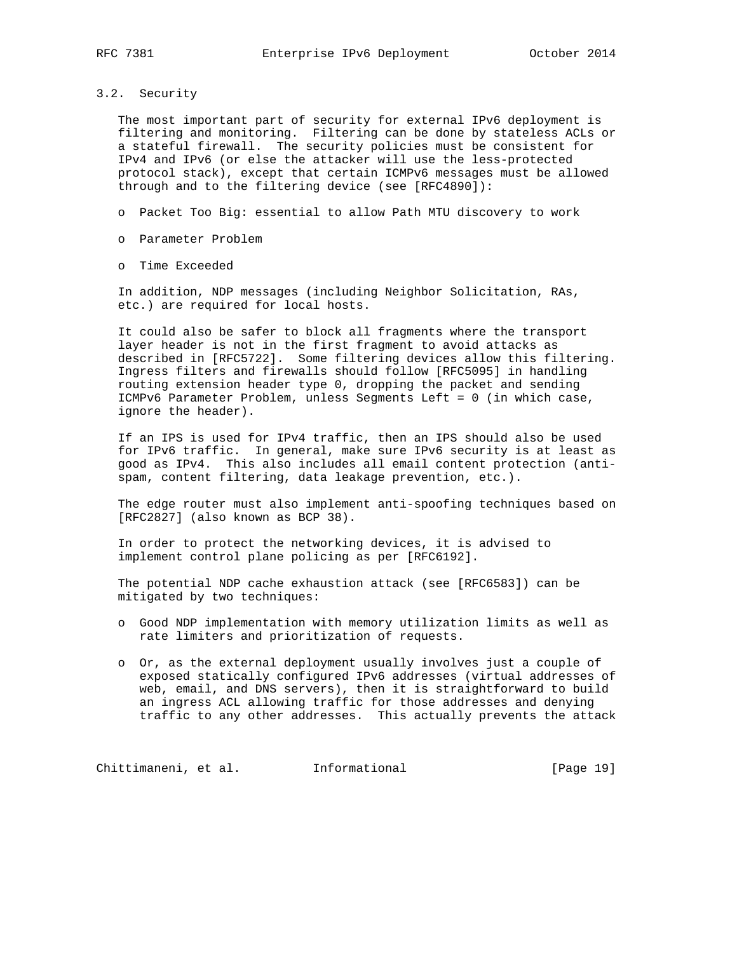3.2. Security

 The most important part of security for external IPv6 deployment is filtering and monitoring. Filtering can be done by stateless ACLs or a stateful firewall. The security policies must be consistent for IPv4 and IPv6 (or else the attacker will use the less-protected protocol stack), except that certain ICMPv6 messages must be allowed through and to the filtering device (see [RFC4890]):

- o Packet Too Big: essential to allow Path MTU discovery to work
- o Parameter Problem
- o Time Exceeded

 In addition, NDP messages (including Neighbor Solicitation, RAs, etc.) are required for local hosts.

 It could also be safer to block all fragments where the transport layer header is not in the first fragment to avoid attacks as described in [RFC5722]. Some filtering devices allow this filtering. Ingress filters and firewalls should follow [RFC5095] in handling routing extension header type 0, dropping the packet and sending ICMPv6 Parameter Problem, unless Segments Left = 0 (in which case, ignore the header).

 If an IPS is used for IPv4 traffic, then an IPS should also be used for IPv6 traffic. In general, make sure IPv6 security is at least as good as IPv4. This also includes all email content protection (anti spam, content filtering, data leakage prevention, etc.).

 The edge router must also implement anti-spoofing techniques based on [RFC2827] (also known as BCP 38).

 In order to protect the networking devices, it is advised to implement control plane policing as per [RFC6192].

 The potential NDP cache exhaustion attack (see [RFC6583]) can be mitigated by two techniques:

- o Good NDP implementation with memory utilization limits as well as rate limiters and prioritization of requests.
- o Or, as the external deployment usually involves just a couple of exposed statically configured IPv6 addresses (virtual addresses of web, email, and DNS servers), then it is straightforward to build an ingress ACL allowing traffic for those addresses and denying traffic to any other addresses. This actually prevents the attack

Chittimaneni, et al. 1nformational [Page 19]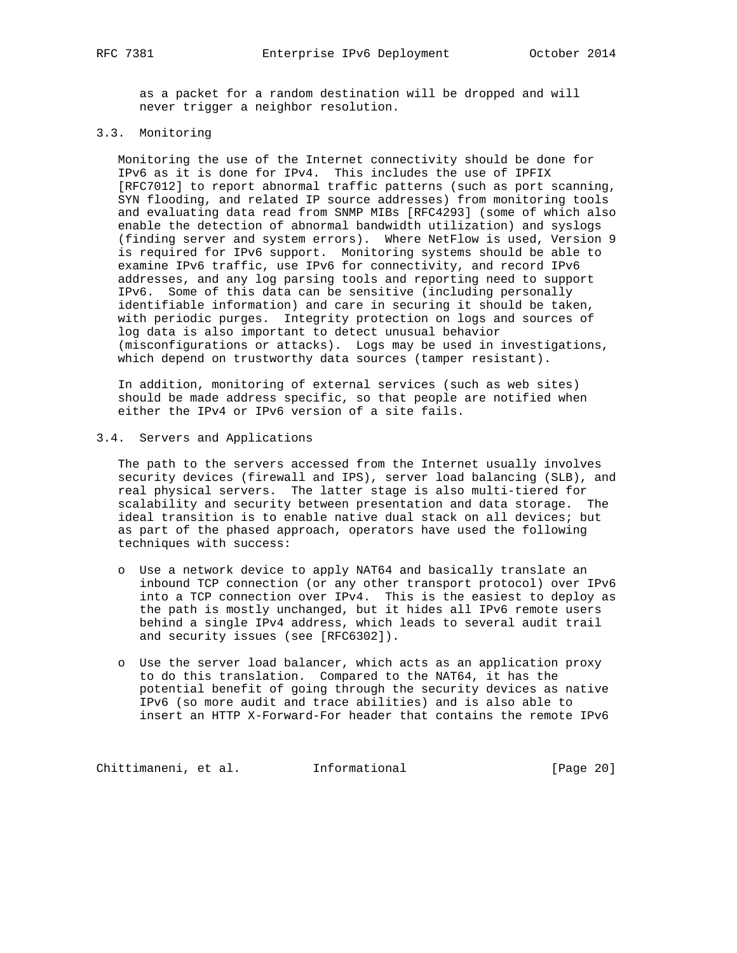as a packet for a random destination will be dropped and will never trigger a neighbor resolution.

# 3.3. Monitoring

 Monitoring the use of the Internet connectivity should be done for IPv6 as it is done for IPv4. This includes the use of IPFIX [RFC7012] to report abnormal traffic patterns (such as port scanning, SYN flooding, and related IP source addresses) from monitoring tools and evaluating data read from SNMP MIBs [RFC4293] (some of which also enable the detection of abnormal bandwidth utilization) and syslogs (finding server and system errors). Where NetFlow is used, Version 9 is required for IPv6 support. Monitoring systems should be able to examine IPv6 traffic, use IPv6 for connectivity, and record IPv6 addresses, and any log parsing tools and reporting need to support IPv6. Some of this data can be sensitive (including personally identifiable information) and care in securing it should be taken, with periodic purges. Integrity protection on logs and sources of log data is also important to detect unusual behavior (misconfigurations or attacks). Logs may be used in investigations, which depend on trustworthy data sources (tamper resistant).

 In addition, monitoring of external services (such as web sites) should be made address specific, so that people are notified when either the IPv4 or IPv6 version of a site fails.

## 3.4. Servers and Applications

 The path to the servers accessed from the Internet usually involves security devices (firewall and IPS), server load balancing (SLB), and real physical servers. The latter stage is also multi-tiered for scalability and security between presentation and data storage. The ideal transition is to enable native dual stack on all devices; but as part of the phased approach, operators have used the following techniques with success:

- o Use a network device to apply NAT64 and basically translate an inbound TCP connection (or any other transport protocol) over IPv6 into a TCP connection over IPv4. This is the easiest to deploy as the path is mostly unchanged, but it hides all IPv6 remote users behind a single IPv4 address, which leads to several audit trail and security issues (see [RFC6302]).
- o Use the server load balancer, which acts as an application proxy to do this translation. Compared to the NAT64, it has the potential benefit of going through the security devices as native IPv6 (so more audit and trace abilities) and is also able to insert an HTTP X-Forward-For header that contains the remote IPv6

Chittimaneni, et al. 1nformational (Page 20)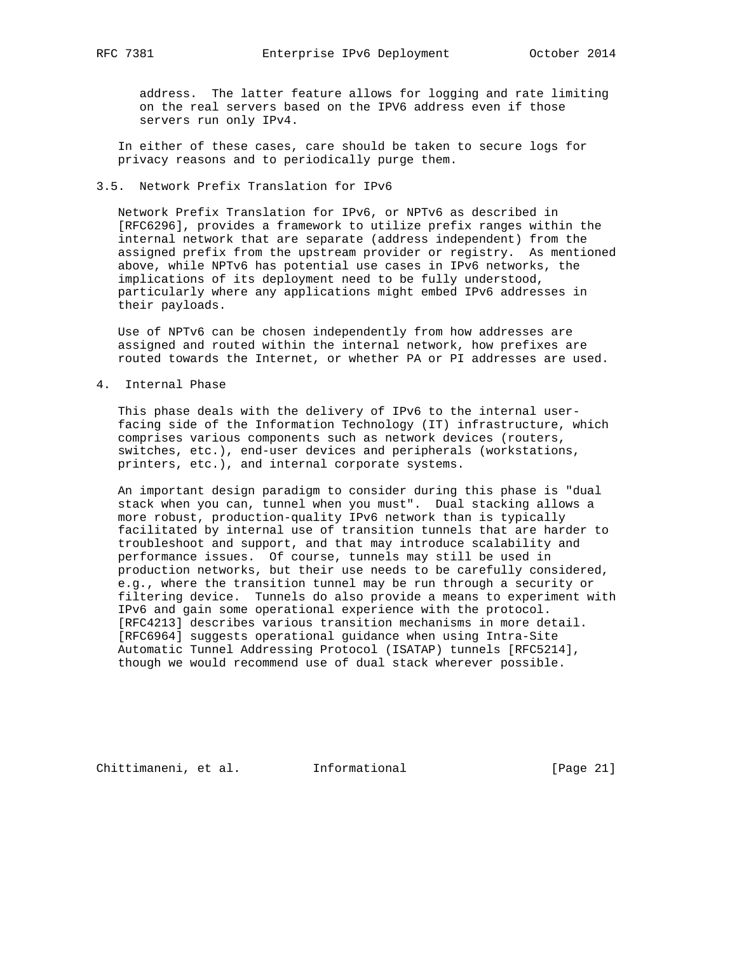address. The latter feature allows for logging and rate limiting on the real servers based on the IPV6 address even if those servers run only IPv4.

 In either of these cases, care should be taken to secure logs for privacy reasons and to periodically purge them.

## 3.5. Network Prefix Translation for IPv6

 Network Prefix Translation for IPv6, or NPTv6 as described in [RFC6296], provides a framework to utilize prefix ranges within the internal network that are separate (address independent) from the assigned prefix from the upstream provider or registry. As mentioned above, while NPTv6 has potential use cases in IPv6 networks, the implications of its deployment need to be fully understood, particularly where any applications might embed IPv6 addresses in their payloads.

 Use of NPTv6 can be chosen independently from how addresses are assigned and routed within the internal network, how prefixes are routed towards the Internet, or whether PA or PI addresses are used.

4. Internal Phase

 This phase deals with the delivery of IPv6 to the internal user facing side of the Information Technology (IT) infrastructure, which comprises various components such as network devices (routers, switches, etc.), end-user devices and peripherals (workstations, printers, etc.), and internal corporate systems.

 An important design paradigm to consider during this phase is "dual stack when you can, tunnel when you must". Dual stacking allows a more robust, production-quality IPv6 network than is typically facilitated by internal use of transition tunnels that are harder to troubleshoot and support, and that may introduce scalability and performance issues. Of course, tunnels may still be used in production networks, but their use needs to be carefully considered, e.g., where the transition tunnel may be run through a security or filtering device. Tunnels do also provide a means to experiment with IPv6 and gain some operational experience with the protocol. [RFC4213] describes various transition mechanisms in more detail. [RFC6964] suggests operational guidance when using Intra-Site Automatic Tunnel Addressing Protocol (ISATAP) tunnels [RFC5214], though we would recommend use of dual stack wherever possible.

Chittimaneni, et al. 1nformational [Page 21]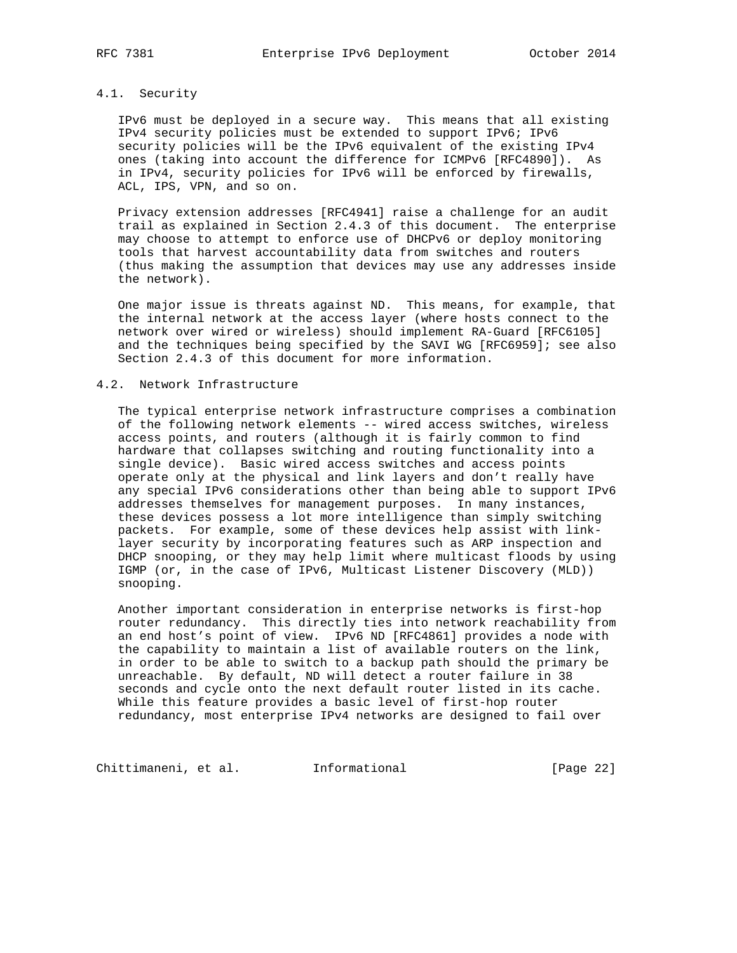# 4.1. Security

 IPv6 must be deployed in a secure way. This means that all existing IPv4 security policies must be extended to support IPv6; IPv6 security policies will be the IPv6 equivalent of the existing IPv4 ones (taking into account the difference for ICMPv6 [RFC4890]). As in IPv4, security policies for IPv6 will be enforced by firewalls, ACL, IPS, VPN, and so on.

 Privacy extension addresses [RFC4941] raise a challenge for an audit trail as explained in Section 2.4.3 of this document. The enterprise may choose to attempt to enforce use of DHCPv6 or deploy monitoring tools that harvest accountability data from switches and routers (thus making the assumption that devices may use any addresses inside the network).

 One major issue is threats against ND. This means, for example, that the internal network at the access layer (where hosts connect to the network over wired or wireless) should implement RA-Guard [RFC6105] and the techniques being specified by the SAVI WG [RFC6959]; see also Section 2.4.3 of this document for more information.

# 4.2. Network Infrastructure

 The typical enterprise network infrastructure comprises a combination of the following network elements -- wired access switches, wireless access points, and routers (although it is fairly common to find hardware that collapses switching and routing functionality into a single device). Basic wired access switches and access points operate only at the physical and link layers and don't really have any special IPv6 considerations other than being able to support IPv6 addresses themselves for management purposes. In many instances, these devices possess a lot more intelligence than simply switching packets. For example, some of these devices help assist with link layer security by incorporating features such as ARP inspection and DHCP snooping, or they may help limit where multicast floods by using IGMP (or, in the case of IPv6, Multicast Listener Discovery (MLD)) snooping.

 Another important consideration in enterprise networks is first-hop router redundancy. This directly ties into network reachability from an end host's point of view. IPv6 ND [RFC4861] provides a node with the capability to maintain a list of available routers on the link, in order to be able to switch to a backup path should the primary be unreachable. By default, ND will detect a router failure in 38 seconds and cycle onto the next default router listed in its cache. While this feature provides a basic level of first-hop router redundancy, most enterprise IPv4 networks are designed to fail over

Chittimaneni, et al. 1nformational (Page 22)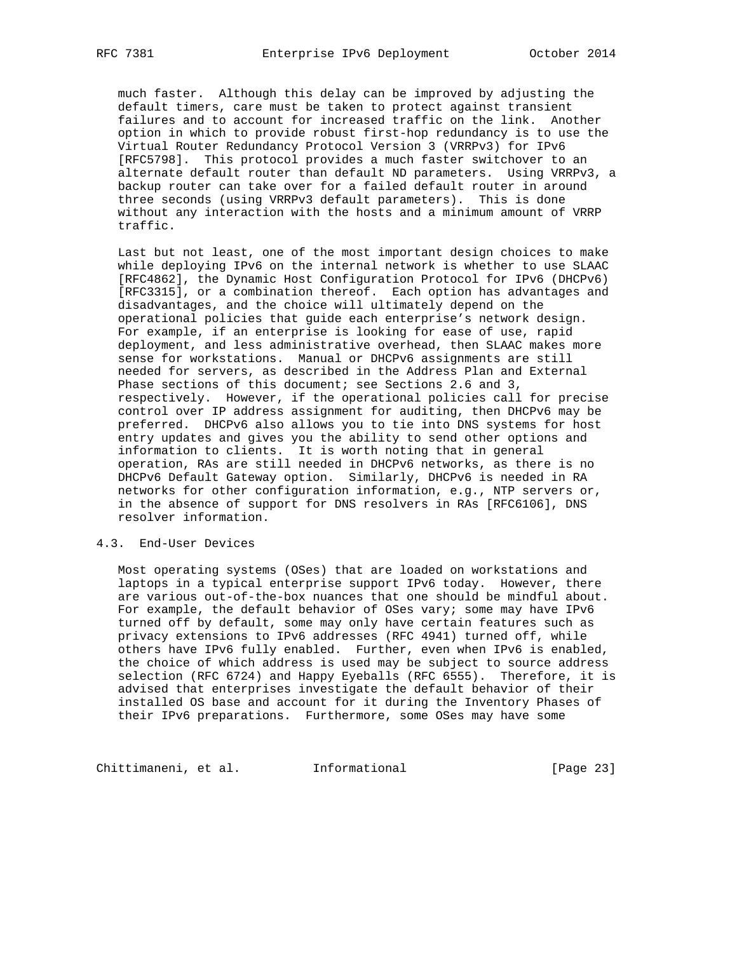much faster. Although this delay can be improved by adjusting the default timers, care must be taken to protect against transient failures and to account for increased traffic on the link. Another option in which to provide robust first-hop redundancy is to use the Virtual Router Redundancy Protocol Version 3 (VRRPv3) for IPv6 [RFC5798]. This protocol provides a much faster switchover to an alternate default router than default ND parameters. Using VRRPv3, a backup router can take over for a failed default router in around three seconds (using VRRPv3 default parameters). This is done without any interaction with the hosts and a minimum amount of VRRP traffic.

 Last but not least, one of the most important design choices to make while deploying IPv6 on the internal network is whether to use SLAAC [RFC4862], the Dynamic Host Configuration Protocol for IPv6 (DHCPv6) [RFC3315], or a combination thereof. Each option has advantages and disadvantages, and the choice will ultimately depend on the operational policies that guide each enterprise's network design. For example, if an enterprise is looking for ease of use, rapid deployment, and less administrative overhead, then SLAAC makes more sense for workstations. Manual or DHCPv6 assignments are still needed for servers, as described in the Address Plan and External Phase sections of this document; see Sections 2.6 and 3, respectively. However, if the operational policies call for precise control over IP address assignment for auditing, then DHCPv6 may be preferred. DHCPv6 also allows you to tie into DNS systems for host entry updates and gives you the ability to send other options and information to clients. It is worth noting that in general operation, RAs are still needed in DHCPv6 networks, as there is no DHCPv6 Default Gateway option. Similarly, DHCPv6 is needed in RA networks for other configuration information, e.g., NTP servers or, in the absence of support for DNS resolvers in RAs [RFC6106], DNS resolver information.

## 4.3. End-User Devices

 Most operating systems (OSes) that are loaded on workstations and laptops in a typical enterprise support IPv6 today. However, there are various out-of-the-box nuances that one should be mindful about. For example, the default behavior of OSes vary; some may have IPv6 turned off by default, some may only have certain features such as privacy extensions to IPv6 addresses (RFC 4941) turned off, while others have IPv6 fully enabled. Further, even when IPv6 is enabled, the choice of which address is used may be subject to source address selection (RFC 6724) and Happy Eyeballs (RFC 6555). Therefore, it is advised that enterprises investigate the default behavior of their installed OS base and account for it during the Inventory Phases of their IPv6 preparations. Furthermore, some OSes may have some

Chittimaneni, et al. 1nformational [Page 23]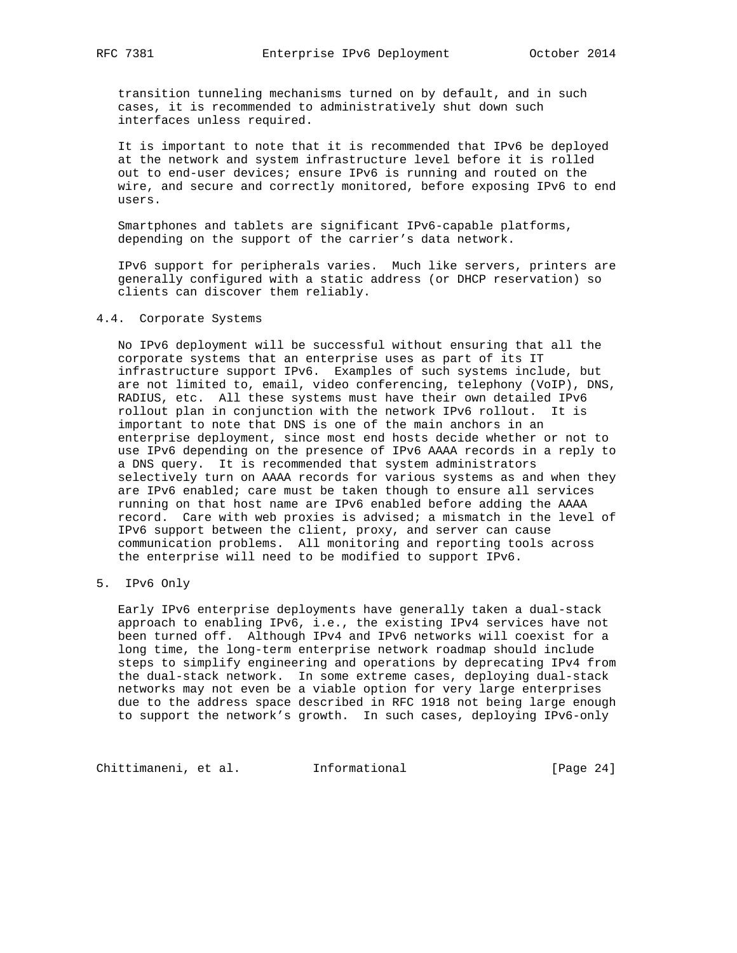transition tunneling mechanisms turned on by default, and in such cases, it is recommended to administratively shut down such interfaces unless required.

 It is important to note that it is recommended that IPv6 be deployed at the network and system infrastructure level before it is rolled out to end-user devices; ensure IPv6 is running and routed on the wire, and secure and correctly monitored, before exposing IPv6 to end users.

 Smartphones and tablets are significant IPv6-capable platforms, depending on the support of the carrier's data network.

 IPv6 support for peripherals varies. Much like servers, printers are generally configured with a static address (or DHCP reservation) so clients can discover them reliably.

## 4.4. Corporate Systems

 No IPv6 deployment will be successful without ensuring that all the corporate systems that an enterprise uses as part of its IT infrastructure support IPv6. Examples of such systems include, but are not limited to, email, video conferencing, telephony (VoIP), DNS, RADIUS, etc. All these systems must have their own detailed IPv6 rollout plan in conjunction with the network IPv6 rollout. It is important to note that DNS is one of the main anchors in an enterprise deployment, since most end hosts decide whether or not to use IPv6 depending on the presence of IPv6 AAAA records in a reply to a DNS query. It is recommended that system administrators selectively turn on AAAA records for various systems as and when they are IPv6 enabled; care must be taken though to ensure all services running on that host name are IPv6 enabled before adding the AAAA record. Care with web proxies is advised; a mismatch in the level of IPv6 support between the client, proxy, and server can cause communication problems. All monitoring and reporting tools across the enterprise will need to be modified to support IPv6.

5. IPv6 Only

 Early IPv6 enterprise deployments have generally taken a dual-stack approach to enabling IPv6, i.e., the existing IPv4 services have not been turned off. Although IPv4 and IPv6 networks will coexist for a long time, the long-term enterprise network roadmap should include steps to simplify engineering and operations by deprecating IPv4 from the dual-stack network. In some extreme cases, deploying dual-stack networks may not even be a viable option for very large enterprises due to the address space described in RFC 1918 not being large enough to support the network's growth. In such cases, deploying IPv6-only

Chittimaneni, et al. 1nformational [Page 24]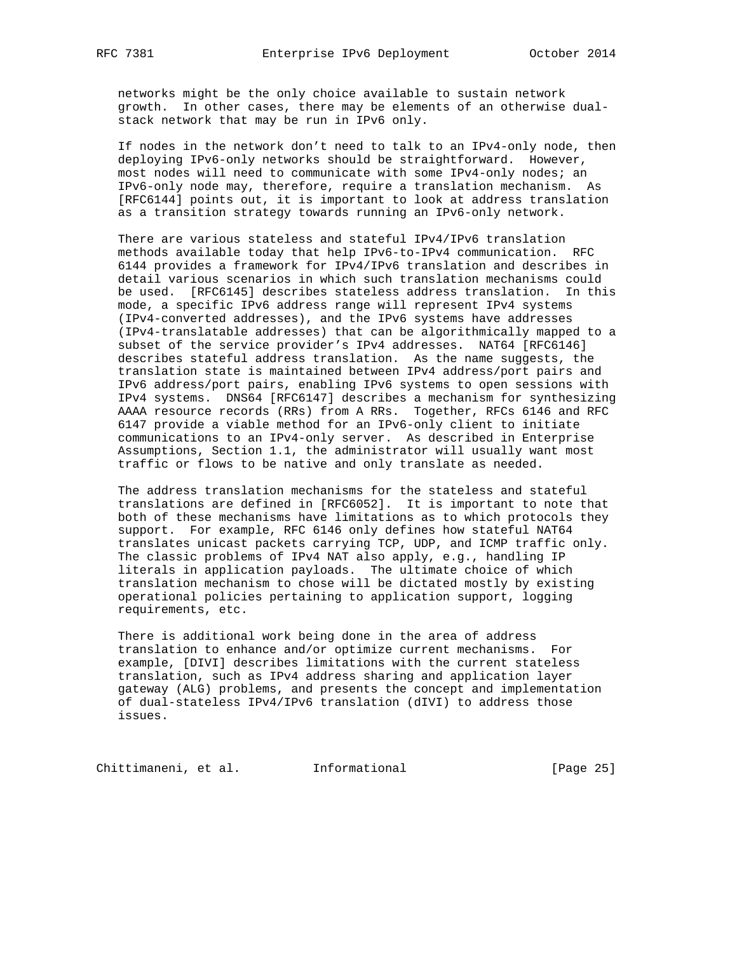networks might be the only choice available to sustain network growth. In other cases, there may be elements of an otherwise dual stack network that may be run in IPv6 only.

 If nodes in the network don't need to talk to an IPv4-only node, then deploying IPv6-only networks should be straightforward. However, most nodes will need to communicate with some IPv4-only nodes; an IPv6-only node may, therefore, require a translation mechanism. As [RFC6144] points out, it is important to look at address translation as a transition strategy towards running an IPv6-only network.

 There are various stateless and stateful IPv4/IPv6 translation methods available today that help IPv6-to-IPv4 communication. RFC 6144 provides a framework for IPv4/IPv6 translation and describes in detail various scenarios in which such translation mechanisms could be used. [RFC6145] describes stateless address translation. In this mode, a specific IPv6 address range will represent IPv4 systems (IPv4-converted addresses), and the IPv6 systems have addresses (IPv4-translatable addresses) that can be algorithmically mapped to a subset of the service provider's IPv4 addresses. NAT64 [RFC6146] describes stateful address translation. As the name suggests, the translation state is maintained between IPv4 address/port pairs and IPv6 address/port pairs, enabling IPv6 systems to open sessions with IPv4 systems. DNS64 [RFC6147] describes a mechanism for synthesizing AAAA resource records (RRs) from A RRs. Together, RFCs 6146 and RFC 6147 provide a viable method for an IPv6-only client to initiate communications to an IPv4-only server. As described in Enterprise Assumptions, Section 1.1, the administrator will usually want most traffic or flows to be native and only translate as needed.

 The address translation mechanisms for the stateless and stateful translations are defined in [RFC6052]. It is important to note that both of these mechanisms have limitations as to which protocols they support. For example, RFC 6146 only defines how stateful NAT64 translates unicast packets carrying TCP, UDP, and ICMP traffic only. The classic problems of IPv4 NAT also apply, e.g., handling IP literals in application payloads. The ultimate choice of which translation mechanism to chose will be dictated mostly by existing operational policies pertaining to application support, logging requirements, etc.

 There is additional work being done in the area of address translation to enhance and/or optimize current mechanisms. For example, [DIVI] describes limitations with the current stateless translation, such as IPv4 address sharing and application layer gateway (ALG) problems, and presents the concept and implementation of dual-stateless IPv4/IPv6 translation (dIVI) to address those issues.

Chittimaneni, et al. 1nformational (Page 25)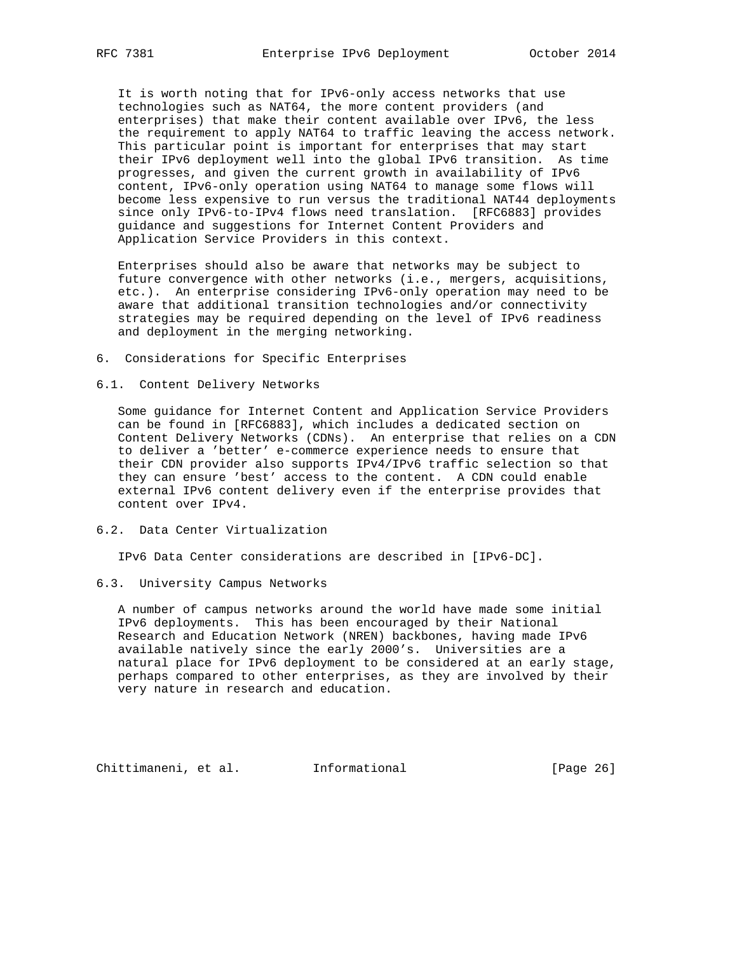It is worth noting that for IPv6-only access networks that use technologies such as NAT64, the more content providers (and enterprises) that make their content available over IPv6, the less the requirement to apply NAT64 to traffic leaving the access network. This particular point is important for enterprises that may start their IPv6 deployment well into the global IPv6 transition. As time progresses, and given the current growth in availability of IPv6 content, IPv6-only operation using NAT64 to manage some flows will become less expensive to run versus the traditional NAT44 deployments since only IPv6-to-IPv4 flows need translation. [RFC6883] provides guidance and suggestions for Internet Content Providers and Application Service Providers in this context.

 Enterprises should also be aware that networks may be subject to future convergence with other networks (i.e., mergers, acquisitions, etc.). An enterprise considering IPv6-only operation may need to be aware that additional transition technologies and/or connectivity strategies may be required depending on the level of IPv6 readiness and deployment in the merging networking.

- 6. Considerations for Specific Enterprises
- 6.1. Content Delivery Networks

 Some guidance for Internet Content and Application Service Providers can be found in [RFC6883], which includes a dedicated section on Content Delivery Networks (CDNs). An enterprise that relies on a CDN to deliver a 'better' e-commerce experience needs to ensure that their CDN provider also supports IPv4/IPv6 traffic selection so that they can ensure 'best' access to the content. A CDN could enable external IPv6 content delivery even if the enterprise provides that content over IPv4.

6.2. Data Center Virtualization

IPv6 Data Center considerations are described in [IPv6-DC].

6.3. University Campus Networks

 A number of campus networks around the world have made some initial IPv6 deployments. This has been encouraged by their National Research and Education Network (NREN) backbones, having made IPv6 available natively since the early 2000's. Universities are a natural place for IPv6 deployment to be considered at an early stage, perhaps compared to other enterprises, as they are involved by their very nature in research and education.

Chittimaneni, et al. Informational [Page 26]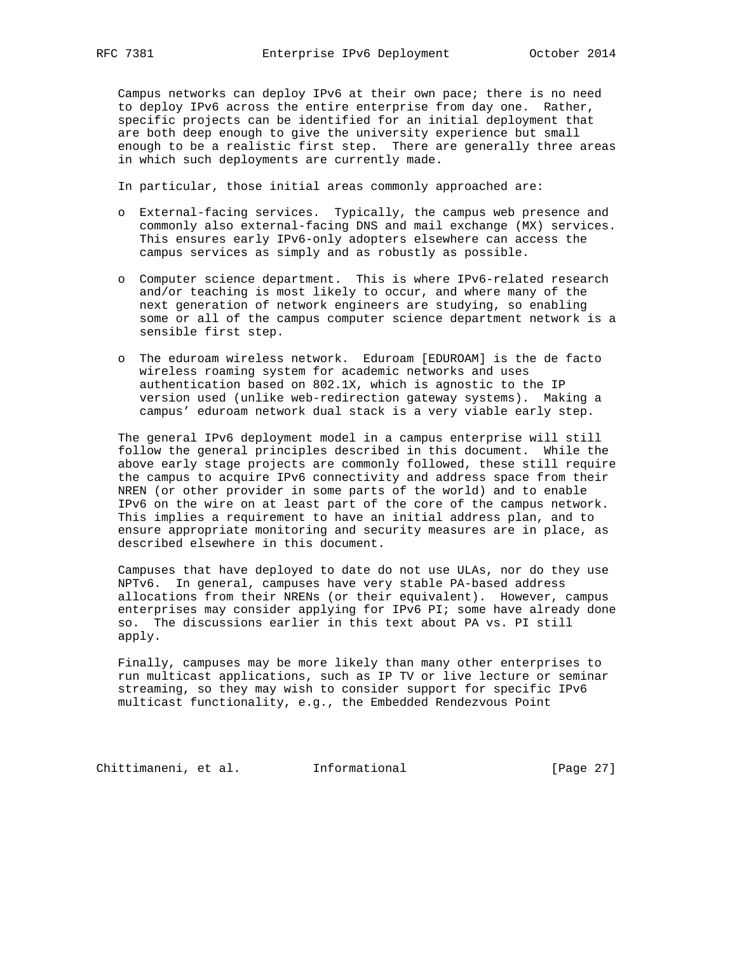Campus networks can deploy IPv6 at their own pace; there is no need to deploy IPv6 across the entire enterprise from day one. Rather, specific projects can be identified for an initial deployment that are both deep enough to give the university experience but small enough to be a realistic first step. There are generally three areas in which such deployments are currently made.

In particular, those initial areas commonly approached are:

- o External-facing services. Typically, the campus web presence and commonly also external-facing DNS and mail exchange (MX) services. This ensures early IPv6-only adopters elsewhere can access the campus services as simply and as robustly as possible.
- o Computer science department. This is where IPv6-related research and/or teaching is most likely to occur, and where many of the next generation of network engineers are studying, so enabling some or all of the campus computer science department network is a sensible first step.
- o The eduroam wireless network. Eduroam [EDUROAM] is the de facto wireless roaming system for academic networks and uses authentication based on 802.1X, which is agnostic to the IP version used (unlike web-redirection gateway systems). Making a campus' eduroam network dual stack is a very viable early step.

 The general IPv6 deployment model in a campus enterprise will still follow the general principles described in this document. While the above early stage projects are commonly followed, these still require the campus to acquire IPv6 connectivity and address space from their NREN (or other provider in some parts of the world) and to enable IPv6 on the wire on at least part of the core of the campus network. This implies a requirement to have an initial address plan, and to ensure appropriate monitoring and security measures are in place, as described elsewhere in this document.

 Campuses that have deployed to date do not use ULAs, nor do they use NPTv6. In general, campuses have very stable PA-based address allocations from their NRENs (or their equivalent). However, campus enterprises may consider applying for IPv6 PI; some have already done so. The discussions earlier in this text about PA vs. PI still apply.

 Finally, campuses may be more likely than many other enterprises to run multicast applications, such as IP TV or live lecture or seminar streaming, so they may wish to consider support for specific IPv6 multicast functionality, e.g., the Embedded Rendezvous Point

Chittimaneni, et al. 1nformational (Page 27)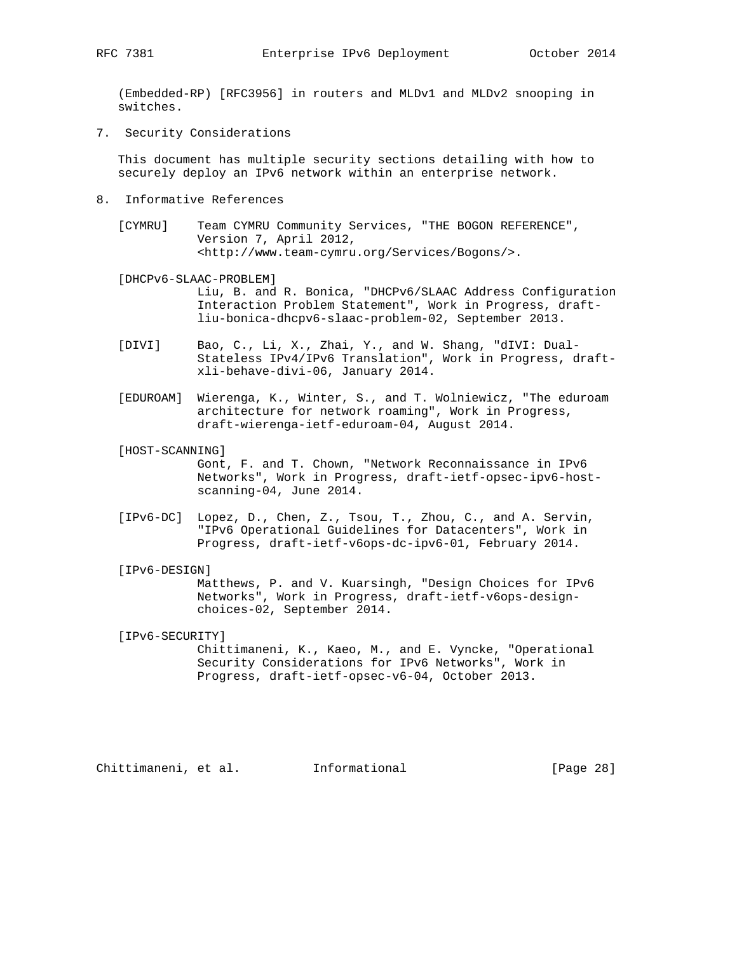(Embedded-RP) [RFC3956] in routers and MLDv1 and MLDv2 snooping in switches.

7. Security Considerations

 This document has multiple security sections detailing with how to securely deploy an IPv6 network within an enterprise network.

- 8. Informative References
	- [CYMRU] Team CYMRU Community Services, "THE BOGON REFERENCE", Version 7, April 2012, <http://www.team-cymru.org/Services/Bogons/>.

[DHCPv6-SLAAC-PROBLEM]

 Liu, B. and R. Bonica, "DHCPv6/SLAAC Address Configuration Interaction Problem Statement", Work in Progress, draft liu-bonica-dhcpv6-slaac-problem-02, September 2013.

- [DIVI] Bao, C., Li, X., Zhai, Y., and W. Shang, "dIVI: Dual- Stateless IPv4/IPv6 Translation", Work in Progress, draft xli-behave-divi-06, January 2014.
- [EDUROAM] Wierenga, K., Winter, S., and T. Wolniewicz, "The eduroam architecture for network roaming", Work in Progress, draft-wierenga-ietf-eduroam-04, August 2014.
- [HOST-SCANNING]

 Gont, F. and T. Chown, "Network Reconnaissance in IPv6 Networks", Work in Progress, draft-ietf-opsec-ipv6-host scanning-04, June 2014.

- [IPv6-DC] Lopez, D., Chen, Z., Tsou, T., Zhou, C., and A. Servin, "IPv6 Operational Guidelines for Datacenters", Work in Progress, draft-ietf-v6ops-dc-ipv6-01, February 2014.
- [IPv6-DESIGN]

 Matthews, P. and V. Kuarsingh, "Design Choices for IPv6 Networks", Work in Progress, draft-ietf-v6ops-design choices-02, September 2014.

[IPv6-SECURITY]

 Chittimaneni, K., Kaeo, M., and E. Vyncke, "Operational Security Considerations for IPv6 Networks", Work in Progress, draft-ietf-opsec-v6-04, October 2013.

Chittimaneni, et al. Informational [Page 28]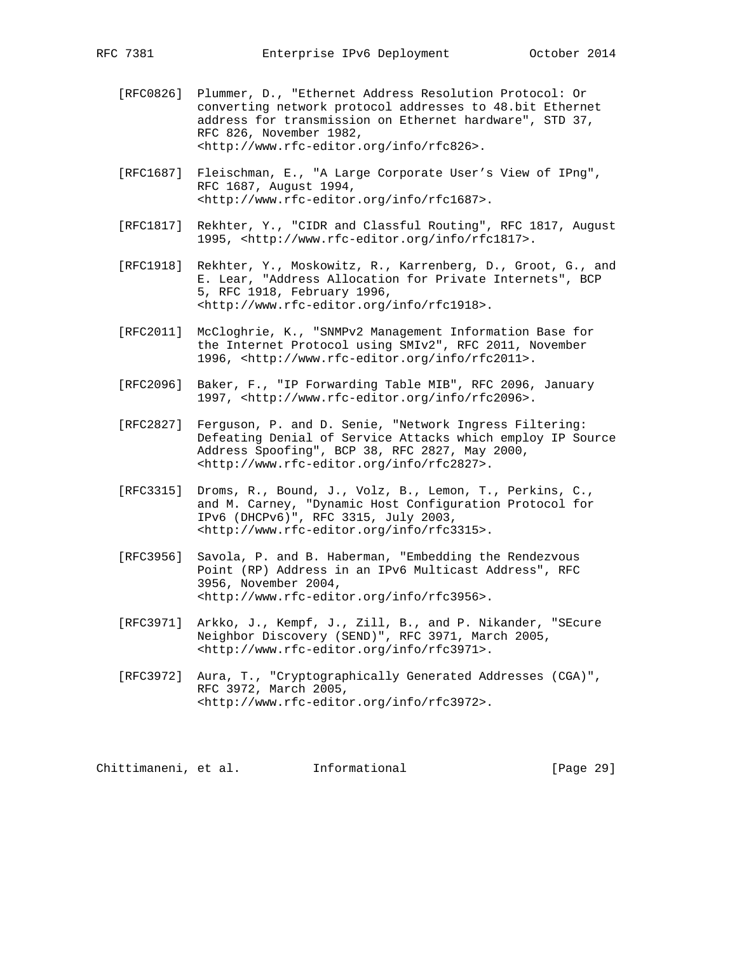- [RFC0826] Plummer, D., "Ethernet Address Resolution Protocol: Or converting network protocol addresses to 48.bit Ethernet address for transmission on Ethernet hardware", STD 37, RFC 826, November 1982, <http://www.rfc-editor.org/info/rfc826>.
- [RFC1687] Fleischman, E., "A Large Corporate User's View of IPng", RFC 1687, August 1994, <http://www.rfc-editor.org/info/rfc1687>.
- [RFC1817] Rekhter, Y., "CIDR and Classful Routing", RFC 1817, August 1995, <http://www.rfc-editor.org/info/rfc1817>.
- [RFC1918] Rekhter, Y., Moskowitz, R., Karrenberg, D., Groot, G., and E. Lear, "Address Allocation for Private Internets", BCP 5, RFC 1918, February 1996, <http://www.rfc-editor.org/info/rfc1918>.
- [RFC2011] McCloghrie, K., "SNMPv2 Management Information Base for the Internet Protocol using SMIv2", RFC 2011, November 1996, <http://www.rfc-editor.org/info/rfc2011>.
- [RFC2096] Baker, F., "IP Forwarding Table MIB", RFC 2096, January 1997, <http://www.rfc-editor.org/info/rfc2096>.
- [RFC2827] Ferguson, P. and D. Senie, "Network Ingress Filtering: Defeating Denial of Service Attacks which employ IP Source Address Spoofing", BCP 38, RFC 2827, May 2000, <http://www.rfc-editor.org/info/rfc2827>.
- [RFC3315] Droms, R., Bound, J., Volz, B., Lemon, T., Perkins, C., and M. Carney, "Dynamic Host Configuration Protocol for IPv6 (DHCPv6)", RFC 3315, July 2003, <http://www.rfc-editor.org/info/rfc3315>.
- [RFC3956] Savola, P. and B. Haberman, "Embedding the Rendezvous Point (RP) Address in an IPv6 Multicast Address", RFC 3956, November 2004, <http://www.rfc-editor.org/info/rfc3956>.
- [RFC3971] Arkko, J., Kempf, J., Zill, B., and P. Nikander, "SEcure Neighbor Discovery (SEND)", RFC 3971, March 2005, <http://www.rfc-editor.org/info/rfc3971>.
- [RFC3972] Aura, T., "Cryptographically Generated Addresses (CGA)", RFC 3972, March 2005, <http://www.rfc-editor.org/info/rfc3972>.

Chittimaneni, et al. Informational [Page 29]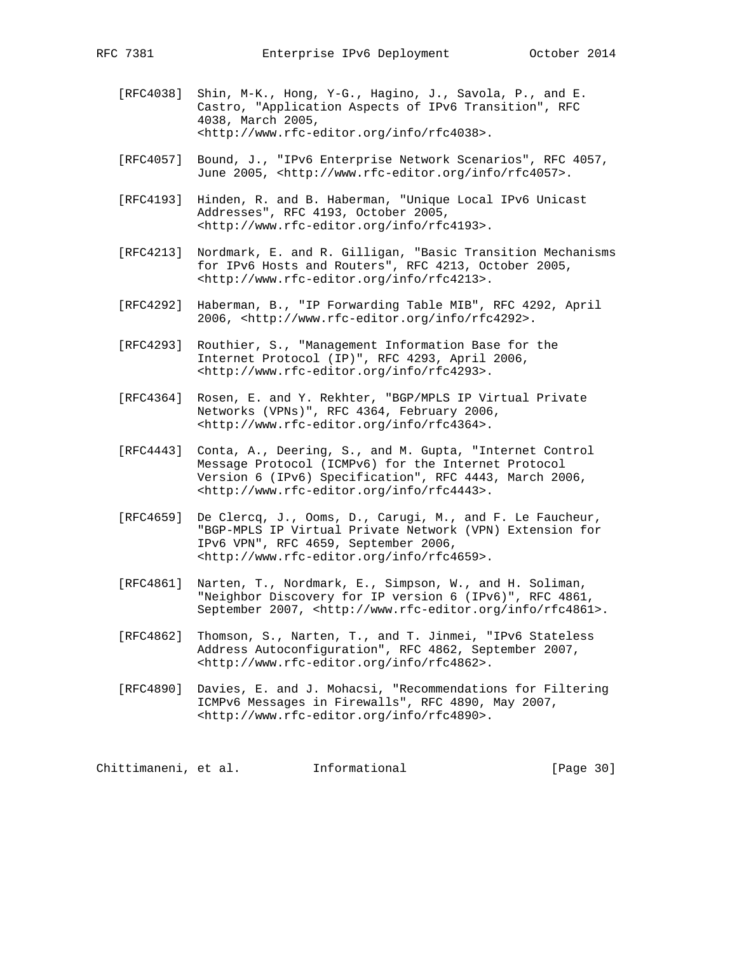- [RFC4038] Shin, M-K., Hong, Y-G., Hagino, J., Savola, P., and E. Castro, "Application Aspects of IPv6 Transition", RFC 4038, March 2005, <http://www.rfc-editor.org/info/rfc4038>.
- [RFC4057] Bound, J., "IPv6 Enterprise Network Scenarios", RFC 4057, June 2005, <http://www.rfc-editor.org/info/rfc4057>.
- [RFC4193] Hinden, R. and B. Haberman, "Unique Local IPv6 Unicast Addresses", RFC 4193, October 2005, <http://www.rfc-editor.org/info/rfc4193>.
- [RFC4213] Nordmark, E. and R. Gilligan, "Basic Transition Mechanisms for IPv6 Hosts and Routers", RFC 4213, October 2005, <http://www.rfc-editor.org/info/rfc4213>.
- [RFC4292] Haberman, B., "IP Forwarding Table MIB", RFC 4292, April 2006, <http://www.rfc-editor.org/info/rfc4292>.
- [RFC4293] Routhier, S., "Management Information Base for the Internet Protocol (IP)", RFC 4293, April 2006, <http://www.rfc-editor.org/info/rfc4293>.
- [RFC4364] Rosen, E. and Y. Rekhter, "BGP/MPLS IP Virtual Private Networks (VPNs)", RFC 4364, February 2006, <http://www.rfc-editor.org/info/rfc4364>.
- [RFC4443] Conta, A., Deering, S., and M. Gupta, "Internet Control Message Protocol (ICMPv6) for the Internet Protocol Version 6 (IPv6) Specification", RFC 4443, March 2006, <http://www.rfc-editor.org/info/rfc4443>.
- [RFC4659] De Clercq, J., Ooms, D., Carugi, M., and F. Le Faucheur, "BGP-MPLS IP Virtual Private Network (VPN) Extension for IPv6 VPN", RFC 4659, September 2006, <http://www.rfc-editor.org/info/rfc4659>.
- [RFC4861] Narten, T., Nordmark, E., Simpson, W., and H. Soliman, "Neighbor Discovery for IP version 6 (IPv6)", RFC 4861, September 2007, <http://www.rfc-editor.org/info/rfc4861>.
- [RFC4862] Thomson, S., Narten, T., and T. Jinmei, "IPv6 Stateless Address Autoconfiguration", RFC 4862, September 2007, <http://www.rfc-editor.org/info/rfc4862>.
- [RFC4890] Davies, E. and J. Mohacsi, "Recommendations for Filtering ICMPv6 Messages in Firewalls", RFC 4890, May 2007, <http://www.rfc-editor.org/info/rfc4890>.

Chittimaneni, et al. 1nformational [Page 30]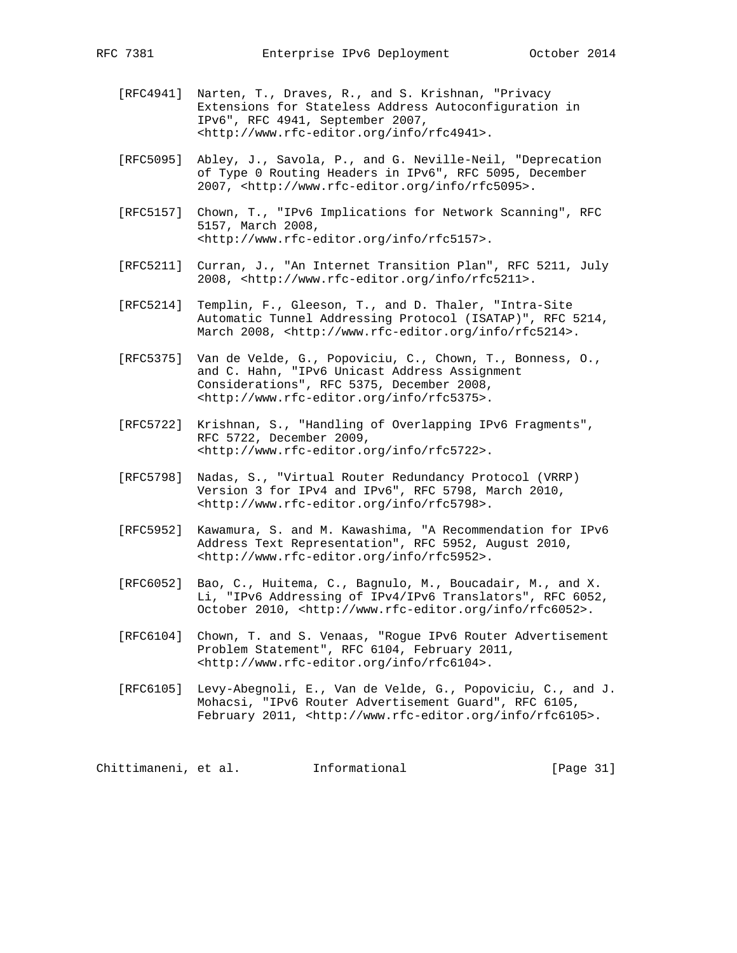- [RFC4941] Narten, T., Draves, R., and S. Krishnan, "Privacy Extensions for Stateless Address Autoconfiguration in IPv6", RFC 4941, September 2007, <http://www.rfc-editor.org/info/rfc4941>.
- [RFC5095] Abley, J., Savola, P., and G. Neville-Neil, "Deprecation of Type 0 Routing Headers in IPv6", RFC 5095, December 2007, <http://www.rfc-editor.org/info/rfc5095>.
- [RFC5157] Chown, T., "IPv6 Implications for Network Scanning", RFC 5157, March 2008, <http://www.rfc-editor.org/info/rfc5157>.
- [RFC5211] Curran, J., "An Internet Transition Plan", RFC 5211, July 2008, <http://www.rfc-editor.org/info/rfc5211>.
- [RFC5214] Templin, F., Gleeson, T., and D. Thaler, "Intra-Site Automatic Tunnel Addressing Protocol (ISATAP)", RFC 5214, March 2008, <http://www.rfc-editor.org/info/rfc5214>.
- [RFC5375] Van de Velde, G., Popoviciu, C., Chown, T., Bonness, O., and C. Hahn, "IPv6 Unicast Address Assignment Considerations", RFC 5375, December 2008, <http://www.rfc-editor.org/info/rfc5375>.
- [RFC5722] Krishnan, S., "Handling of Overlapping IPv6 Fragments", RFC 5722, December 2009, <http://www.rfc-editor.org/info/rfc5722>.
- [RFC5798] Nadas, S., "Virtual Router Redundancy Protocol (VRRP) Version 3 for IPv4 and IPv6", RFC 5798, March 2010, <http://www.rfc-editor.org/info/rfc5798>.
- [RFC5952] Kawamura, S. and M. Kawashima, "A Recommendation for IPv6 Address Text Representation", RFC 5952, August 2010, <http://www.rfc-editor.org/info/rfc5952>.
- [RFC6052] Bao, C., Huitema, C., Bagnulo, M., Boucadair, M., and X. Li, "IPv6 Addressing of IPv4/IPv6 Translators", RFC 6052, October 2010, <http://www.rfc-editor.org/info/rfc6052>.
- [RFC6104] Chown, T. and S. Venaas, "Rogue IPv6 Router Advertisement Problem Statement", RFC 6104, February 2011, <http://www.rfc-editor.org/info/rfc6104>.
- [RFC6105] Levy-Abegnoli, E., Van de Velde, G., Popoviciu, C., and J. Mohacsi, "IPv6 Router Advertisement Guard", RFC 6105, February 2011, <http://www.rfc-editor.org/info/rfc6105>.

Chittimaneni, et al. 1nformational [Page 31]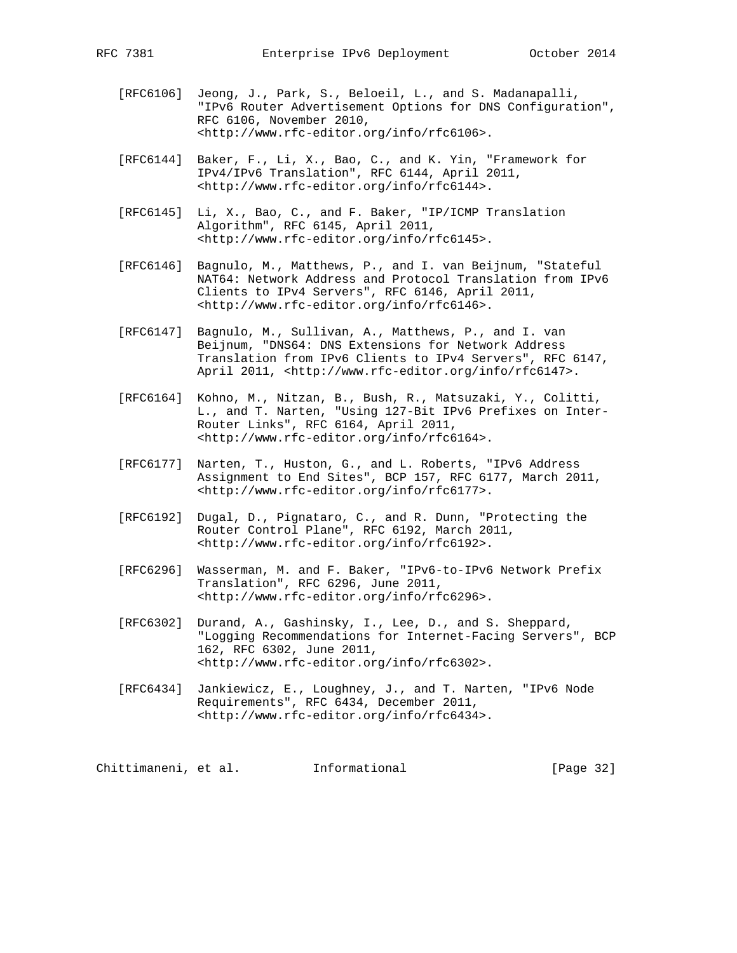- [RFC6106] Jeong, J., Park, S., Beloeil, L., and S. Madanapalli, "IPv6 Router Advertisement Options for DNS Configuration", RFC 6106, November 2010, <http://www.rfc-editor.org/info/rfc6106>.
- [RFC6144] Baker, F., Li, X., Bao, C., and K. Yin, "Framework for IPv4/IPv6 Translation", RFC 6144, April 2011, <http://www.rfc-editor.org/info/rfc6144>.
- [RFC6145] Li, X., Bao, C., and F. Baker, "IP/ICMP Translation Algorithm", RFC 6145, April 2011, <http://www.rfc-editor.org/info/rfc6145>.
- [RFC6146] Bagnulo, M., Matthews, P., and I. van Beijnum, "Stateful NAT64: Network Address and Protocol Translation from IPv6 Clients to IPv4 Servers", RFC 6146, April 2011, <http://www.rfc-editor.org/info/rfc6146>.
- [RFC6147] Bagnulo, M., Sullivan, A., Matthews, P., and I. van Beijnum, "DNS64: DNS Extensions for Network Address Translation from IPv6 Clients to IPv4 Servers", RFC 6147, April 2011, <http://www.rfc-editor.org/info/rfc6147>.
- [RFC6164] Kohno, M., Nitzan, B., Bush, R., Matsuzaki, Y., Colitti, L., and T. Narten, "Using 127-Bit IPv6 Prefixes on Inter- Router Links", RFC 6164, April 2011, <http://www.rfc-editor.org/info/rfc6164>.
- [RFC6177] Narten, T., Huston, G., and L. Roberts, "IPv6 Address Assignment to End Sites", BCP 157, RFC 6177, March 2011, <http://www.rfc-editor.org/info/rfc6177>.
- [RFC6192] Dugal, D., Pignataro, C., and R. Dunn, "Protecting the Router Control Plane", RFC 6192, March 2011, <http://www.rfc-editor.org/info/rfc6192>.
- [RFC6296] Wasserman, M. and F. Baker, "IPv6-to-IPv6 Network Prefix Translation", RFC 6296, June 2011, <http://www.rfc-editor.org/info/rfc6296>.
- [RFC6302] Durand, A., Gashinsky, I., Lee, D., and S. Sheppard, "Logging Recommendations for Internet-Facing Servers", BCP 162, RFC 6302, June 2011, <http://www.rfc-editor.org/info/rfc6302>.
- [RFC6434] Jankiewicz, E., Loughney, J., and T. Narten, "IPv6 Node Requirements", RFC 6434, December 2011, <http://www.rfc-editor.org/info/rfc6434>.

Chittimaneni, et al. 1nformational [Page 32]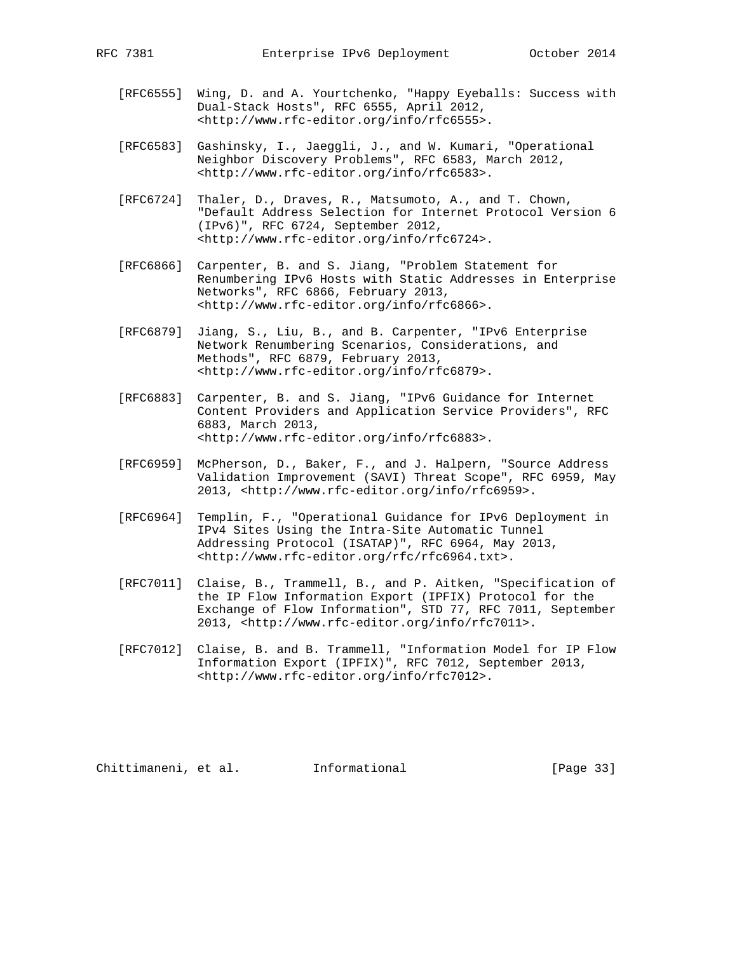- [RFC6555] Wing, D. and A. Yourtchenko, "Happy Eyeballs: Success with Dual-Stack Hosts", RFC 6555, April 2012, <http://www.rfc-editor.org/info/rfc6555>.
- [RFC6583] Gashinsky, I., Jaeggli, J., and W. Kumari, "Operational Neighbor Discovery Problems", RFC 6583, March 2012, <http://www.rfc-editor.org/info/rfc6583>.
- [RFC6724] Thaler, D., Draves, R., Matsumoto, A., and T. Chown, "Default Address Selection for Internet Protocol Version 6 (IPv6)", RFC 6724, September 2012, <http://www.rfc-editor.org/info/rfc6724>.
- [RFC6866] Carpenter, B. and S. Jiang, "Problem Statement for Renumbering IPv6 Hosts with Static Addresses in Enterprise Networks", RFC 6866, February 2013, <http://www.rfc-editor.org/info/rfc6866>.
- [RFC6879] Jiang, S., Liu, B., and B. Carpenter, "IPv6 Enterprise Network Renumbering Scenarios, Considerations, and Methods", RFC 6879, February 2013, <http://www.rfc-editor.org/info/rfc6879>.
- [RFC6883] Carpenter, B. and S. Jiang, "IPv6 Guidance for Internet Content Providers and Application Service Providers", RFC 6883, March 2013, <http://www.rfc-editor.org/info/rfc6883>.
- [RFC6959] McPherson, D., Baker, F., and J. Halpern, "Source Address Validation Improvement (SAVI) Threat Scope", RFC 6959, May 2013, <http://www.rfc-editor.org/info/rfc6959>.
- [RFC6964] Templin, F., "Operational Guidance for IPv6 Deployment in IPv4 Sites Using the Intra-Site Automatic Tunnel Addressing Protocol (ISATAP)", RFC 6964, May 2013, <http://www.rfc-editor.org/rfc/rfc6964.txt>.
- [RFC7011] Claise, B., Trammell, B., and P. Aitken, "Specification of the IP Flow Information Export (IPFIX) Protocol for the Exchange of Flow Information", STD 77, RFC 7011, September 2013, <http://www.rfc-editor.org/info/rfc7011>.
- [RFC7012] Claise, B. and B. Trammell, "Information Model for IP Flow Information Export (IPFIX)", RFC 7012, September 2013, <http://www.rfc-editor.org/info/rfc7012>.

Chittimaneni, et al. Informational [Page 33]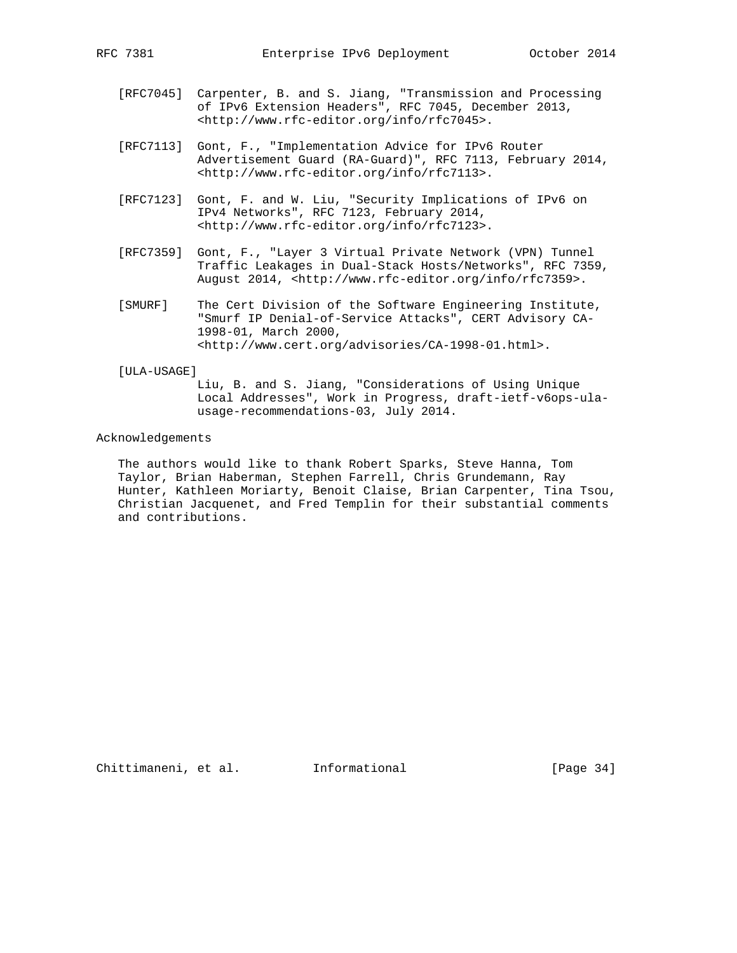- - [RFC7045] Carpenter, B. and S. Jiang, "Transmission and Processing of IPv6 Extension Headers", RFC 7045, December 2013, <http://www.rfc-editor.org/info/rfc7045>.
	- [RFC7113] Gont, F., "Implementation Advice for IPv6 Router Advertisement Guard (RA-Guard)", RFC 7113, February 2014, <http://www.rfc-editor.org/info/rfc7113>.
	- [RFC7123] Gont, F. and W. Liu, "Security Implications of IPv6 on IPv4 Networks", RFC 7123, February 2014, <http://www.rfc-editor.org/info/rfc7123>.
	- [RFC7359] Gont, F., "Layer 3 Virtual Private Network (VPN) Tunnel Traffic Leakages in Dual-Stack Hosts/Networks", RFC 7359, August 2014, <http://www.rfc-editor.org/info/rfc7359>.
	- [SMURF] The Cert Division of the Software Engineering Institute, "Smurf IP Denial-of-Service Attacks", CERT Advisory CA- 1998-01, March 2000, <http://www.cert.org/advisories/CA-1998-01.html>.

#### [ULA-USAGE]

 Liu, B. and S. Jiang, "Considerations of Using Unique Local Addresses", Work in Progress, draft-ietf-v6ops-ula usage-recommendations-03, July 2014.

#### Acknowledgements

 The authors would like to thank Robert Sparks, Steve Hanna, Tom Taylor, Brian Haberman, Stephen Farrell, Chris Grundemann, Ray Hunter, Kathleen Moriarty, Benoit Claise, Brian Carpenter, Tina Tsou, Christian Jacquenet, and Fred Templin for their substantial comments and contributions.